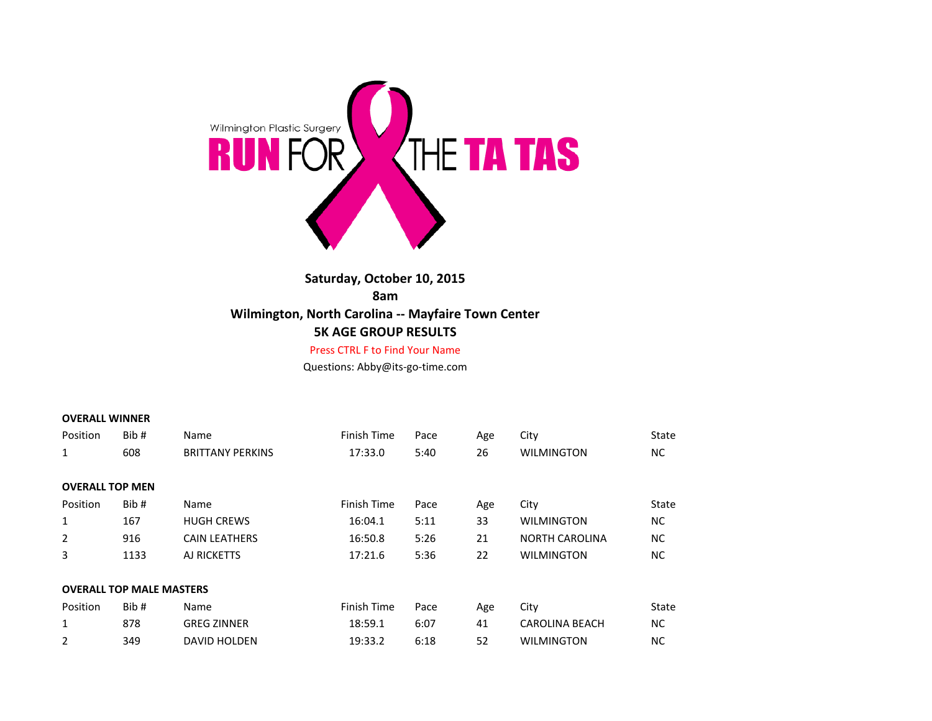

# **Saturday, October 10, 2015 8am Wilmington, North Carolina -- Mayfaire Town Center 5K AGE GROUP RESULTS**

### Press CTRL F to Find Your Name

Questions: Abby@its-go-time.com

### **OVERALL WINNER**

| Position               | Bib #                           | Name                    | Finish Time | Pace | Age | City                  | State     |
|------------------------|---------------------------------|-------------------------|-------------|------|-----|-----------------------|-----------|
| $\mathbf{1}$           | 608                             | <b>BRITTANY PERKINS</b> | 17:33.0     | 5:40 | 26  | <b>WILMINGTON</b>     | <b>NC</b> |
|                        |                                 |                         |             |      |     |                       |           |
| <b>OVERALL TOP MEN</b> |                                 |                         |             |      |     |                       |           |
| Position               | Bib#                            | Name                    | Finish Time | Pace | Age | City                  | State     |
| $\mathbf{1}$           | 167                             | <b>HUGH CREWS</b>       | 16:04.1     | 5:11 | 33  | <b>WILMINGTON</b>     | <b>NC</b> |
| $\overline{2}$         | 916                             | <b>CAIN LEATHERS</b>    | 16:50.8     | 5:26 | 21  | <b>NORTH CAROLINA</b> | <b>NC</b> |
| 3                      | 1133                            | AJ RICKETTS             | 17:21.6     | 5:36 | 22  | <b>WILMINGTON</b>     | <b>NC</b> |
|                        |                                 |                         |             |      |     |                       |           |
|                        | <b>OVERALL TOP MALE MASTERS</b> |                         |             |      |     |                       |           |
| Position               | Bib #                           | Name                    | Finish Time | Pace | Age | City                  | State     |
| $\mathbf{1}$           | 878                             | <b>GREG ZINNER</b>      | 18:59.1     | 6:07 | 41  | <b>CAROLINA BEACH</b> | <b>NC</b> |
| $\overline{2}$         | 349                             | DAVID HOLDEN            | 19:33.2     | 6:18 | 52  | <b>WILMINGTON</b>     | <b>NC</b> |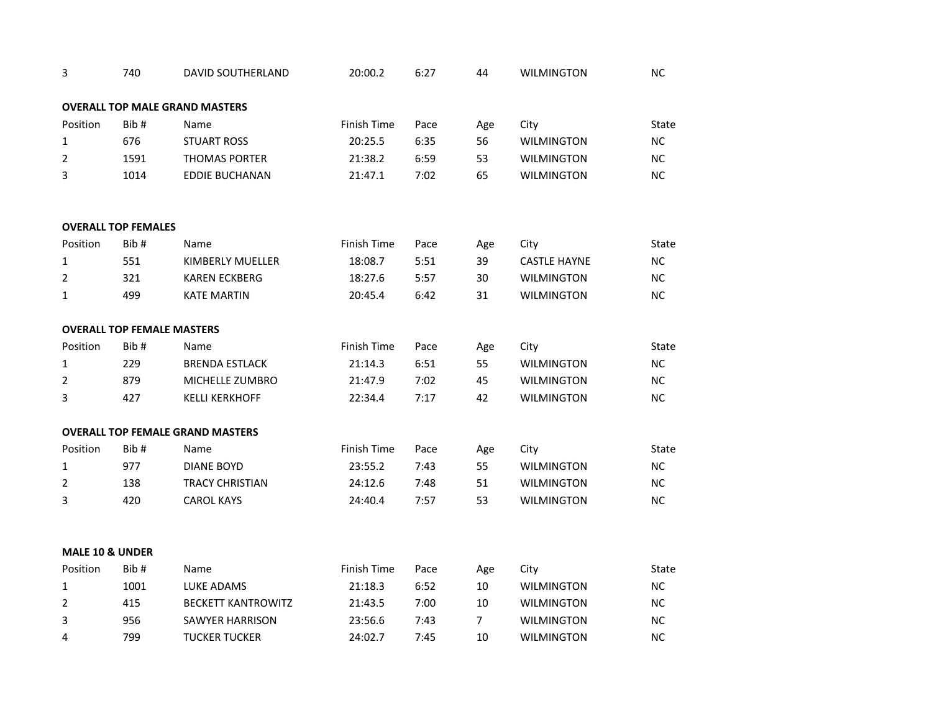| 3               | 740                               | DAVID SOUTHERLAND                       | 20:00.2     | 6:27 | 44             | <b>WILMINGTON</b>   | NC        |
|-----------------|-----------------------------------|-----------------------------------------|-------------|------|----------------|---------------------|-----------|
|                 |                                   |                                         |             |      |                |                     |           |
|                 |                                   | <b>OVERALL TOP MALE GRAND MASTERS</b>   |             |      |                |                     |           |
| Position        | Bib#                              | Name                                    | Finish Time | Pace | Age            | City                | State     |
| $\mathbf{1}$    | 676                               | <b>STUART ROSS</b>                      | 20:25.5     | 6:35 | 56             | <b>WILMINGTON</b>   | NC        |
| $\overline{2}$  | 1591                              | THOMAS PORTER                           | 21:38.2     | 6:59 | 53             | <b>WILMINGTON</b>   | NC        |
| 3               | 1014                              | <b>EDDIE BUCHANAN</b>                   | 21:47.1     | 7:02 | 65             | <b>WILMINGTON</b>   | NC        |
|                 |                                   |                                         |             |      |                |                     |           |
|                 | <b>OVERALL TOP FEMALES</b>        |                                         |             |      |                |                     |           |
| Position        | Bib#                              | Name                                    | Finish Time | Pace | Age            | City                | State     |
| $\mathbf{1}$    | 551                               | <b>KIMBERLY MUELLER</b>                 | 18:08.7     | 5:51 | 39             | <b>CASTLE HAYNE</b> | NC        |
| $\overline{2}$  | 321                               | <b>KAREN ECKBERG</b>                    | 18:27.6     | 5:57 | 30             | <b>WILMINGTON</b>   | NC        |
| $\mathbf{1}$    | 499                               | <b>KATE MARTIN</b>                      | 20:45.4     | 6:42 | 31             | <b>WILMINGTON</b>   | <b>NC</b> |
|                 |                                   |                                         |             |      |                |                     |           |
|                 | <b>OVERALL TOP FEMALE MASTERS</b> |                                         |             |      |                |                     |           |
| Position        | Bib#                              | Name                                    | Finish Time | Pace | Age            | City                | State     |
| $\mathbf{1}$    | 229                               | <b>BRENDA ESTLACK</b>                   | 21:14.3     | 6:51 | 55             | <b>WILMINGTON</b>   | NC        |
| $\overline{2}$  | 879                               | MICHELLE ZUMBRO                         | 21:47.9     | 7:02 | 45             | <b>WILMINGTON</b>   | NC        |
| 3               | 427                               | <b>KELLI KERKHOFF</b>                   | 22:34.4     | 7:17 | 42             | <b>WILMINGTON</b>   | NC        |
|                 |                                   |                                         |             |      |                |                     |           |
|                 |                                   | <b>OVERALL TOP FEMALE GRAND MASTERS</b> |             |      |                |                     |           |
| Position        | Bib#                              | Name                                    | Finish Time | Pace | Age            | City                | State     |
| $\mathbf{1}$    | 977                               | <b>DIANE BOYD</b>                       | 23:55.2     | 7:43 | 55             | <b>WILMINGTON</b>   | NC        |
| $\overline{2}$  | 138                               | <b>TRACY CHRISTIAN</b>                  | 24:12.6     | 7:48 | 51             | <b>WILMINGTON</b>   | NC        |
| 3               | 420                               | <b>CAROL KAYS</b>                       | 24:40.4     | 7:57 | 53             | <b>WILMINGTON</b>   | NC        |
|                 |                                   |                                         |             |      |                |                     |           |
|                 |                                   |                                         |             |      |                |                     |           |
| MALE 10 & UNDER |                                   |                                         |             |      |                |                     |           |
| Position        | Bib#                              | Name                                    | Finish Time | Pace | Age            | City                | State     |
| $\mathbf{1}$    | 1001                              | LUKE ADAMS                              | 21:18.3     | 6:52 | 10             | <b>WILMINGTON</b>   | NC        |
| $\overline{2}$  | 415                               | <b>BECKETT KANTROWITZ</b>               | 21:43.5     | 7:00 | 10             | <b>WILMINGTON</b>   | NC        |
| 3               | 956                               | <b>SAWYER HARRISON</b>                  | 23:56.6     | 7:43 | $\overline{7}$ | <b>WILMINGTON</b>   | NC        |
| 4               | 799                               | <b>TUCKER TUCKER</b>                    | 24:02.7     | 7:45 | 10             | <b>WILMINGTON</b>   | NC        |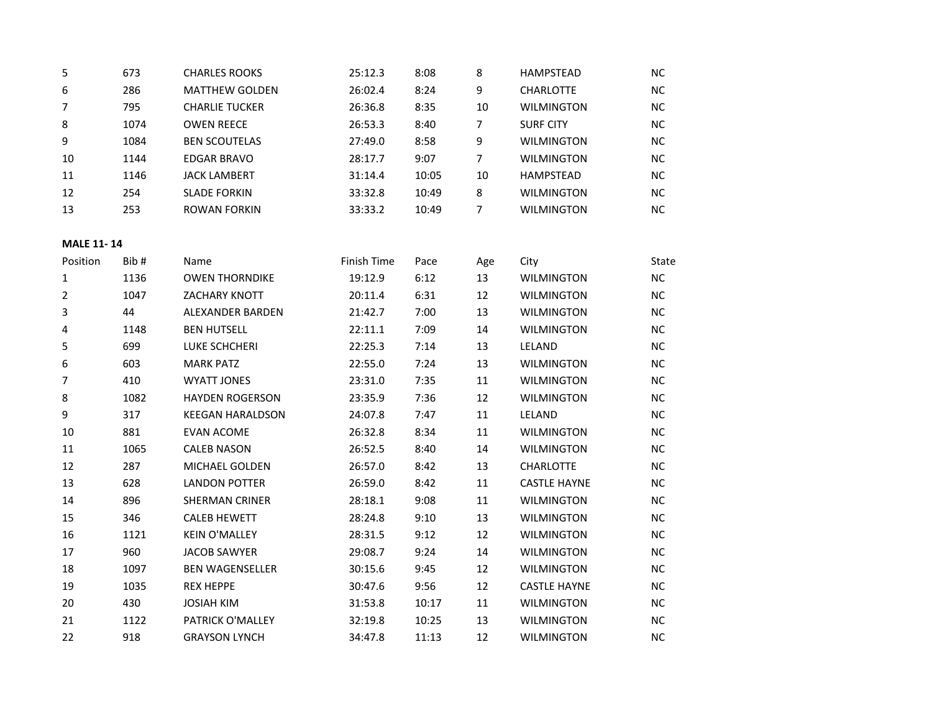| 5  | 673  | <b>CHARLES ROOKS</b>  | 25:12.3 | 8:08  | 8  | <b>HAMPSTEAD</b>  | NС        |
|----|------|-----------------------|---------|-------|----|-------------------|-----------|
| 6  | 286  | <b>MATTHEW GOLDEN</b> | 26:02.4 | 8:24  | 9  | <b>CHARLOTTE</b>  | <b>NC</b> |
|    | 795  | <b>CHARLIE TUCKER</b> | 26:36.8 | 8:35  | 10 | <b>WILMINGTON</b> | <b>NC</b> |
| 8  | 1074 | <b>OWEN REECE</b>     | 26:53.3 | 8:40  | 7  | <b>SURF CITY</b>  | <b>NC</b> |
| 9  | 1084 | <b>BEN SCOUTELAS</b>  | 27:49.0 | 8:58  | 9  | <b>WILMINGTON</b> | <b>NC</b> |
| 10 | 1144 | <b>EDGAR BRAVO</b>    | 28:17.7 | 9:07  |    | <b>WILMINGTON</b> | <b>NC</b> |
| 11 | 1146 | <b>JACK LAMBERT</b>   | 31:14.4 | 10:05 | 10 | <b>HAMPSTEAD</b>  | <b>NC</b> |
| 12 | 254  | <b>SLADE FORKIN</b>   | 33:32.8 | 10:49 | 8  | <b>WILMINGTON</b> | <b>NC</b> |
| 13 | 253  | ROWAN FORKIN          | 33:33.2 | 10:49 |    | <b>WILMINGTON</b> | NС        |

### **MALE 11- 14**

| Position       | Bib# | Name                    | Finish Time | Pace  | Age | City                | State     |
|----------------|------|-------------------------|-------------|-------|-----|---------------------|-----------|
| 1              | 1136 | <b>OWEN THORNDIKE</b>   | 19:12.9     | 6:12  | 13  | <b>WILMINGTON</b>   | <b>NC</b> |
| $\overline{2}$ | 1047 | <b>ZACHARY KNOTT</b>    | 20:11.4     | 6:31  | 12  | <b>WILMINGTON</b>   | <b>NC</b> |
| 3              | 44   | <b>ALEXANDER BARDEN</b> | 21:42.7     | 7:00  | 13  | <b>WILMINGTON</b>   | <b>NC</b> |
| 4              | 1148 | <b>BEN HUTSELL</b>      | 22:11.1     | 7:09  | 14  | <b>WILMINGTON</b>   | <b>NC</b> |
| 5              | 699  | LUKE SCHCHERI           | 22:25.3     | 7:14  | 13  | LELAND              | <b>NC</b> |
| 6              | 603  | <b>MARK PATZ</b>        | 22:55.0     | 7:24  | 13  | <b>WILMINGTON</b>   | <b>NC</b> |
| 7              | 410  | <b>WYATT JONES</b>      | 23:31.0     | 7:35  | 11  | <b>WILMINGTON</b>   | <b>NC</b> |
| 8              | 1082 | <b>HAYDEN ROGERSON</b>  | 23:35.9     | 7:36  | 12  | <b>WILMINGTON</b>   | <b>NC</b> |
| 9              | 317  | <b>KEEGAN HARALDSON</b> | 24:07.8     | 7:47  | 11  | LELAND              | <b>NC</b> |
| 10             | 881  | <b>EVAN ACOME</b>       | 26:32.8     | 8:34  | 11  | <b>WILMINGTON</b>   | <b>NC</b> |
| 11             | 1065 | <b>CALEB NASON</b>      | 26:52.5     | 8:40  | 14  | <b>WILMINGTON</b>   | <b>NC</b> |
| 12             | 287  | <b>MICHAEL GOLDEN</b>   | 26:57.0     | 8:42  | 13  | <b>CHARLOTTE</b>    | <b>NC</b> |
| 13             | 628  | <b>LANDON POTTER</b>    | 26:59.0     | 8:42  | 11  | <b>CASTLE HAYNE</b> | <b>NC</b> |
| 14             | 896  | <b>SHERMAN CRINER</b>   | 28:18.1     | 9:08  | 11  | <b>WILMINGTON</b>   | <b>NC</b> |
| 15             | 346  | <b>CALEB HEWETT</b>     | 28:24.8     | 9:10  | 13  | <b>WILMINGTON</b>   | <b>NC</b> |
| 16             | 1121 | <b>KEIN O'MALLEY</b>    | 28:31.5     | 9:12  | 12  | <b>WILMINGTON</b>   | <b>NC</b> |
| 17             | 960  | <b>JACOB SAWYER</b>     | 29:08.7     | 9:24  | 14  | <b>WILMINGTON</b>   | <b>NC</b> |
| 18             | 1097 | <b>BEN WAGENSELLER</b>  | 30:15.6     | 9:45  | 12  | <b>WILMINGTON</b>   | <b>NC</b> |
| 19             | 1035 | <b>REX HEPPE</b>        | 30:47.6     | 9:56  | 12  | <b>CASTLE HAYNE</b> | <b>NC</b> |
| 20             | 430  | <b>JOSIAH KIM</b>       | 31:53.8     | 10:17 | 11  | <b>WILMINGTON</b>   | ΝC        |
| 21             | 1122 | <b>PATRICK O'MALLEY</b> | 32:19.8     | 10:25 | 13  | <b>WILMINGTON</b>   | <b>NC</b> |
| 22             | 918  | <b>GRAYSON LYNCH</b>    | 34:47.8     | 11:13 | 12  | <b>WILMINGTON</b>   | NC        |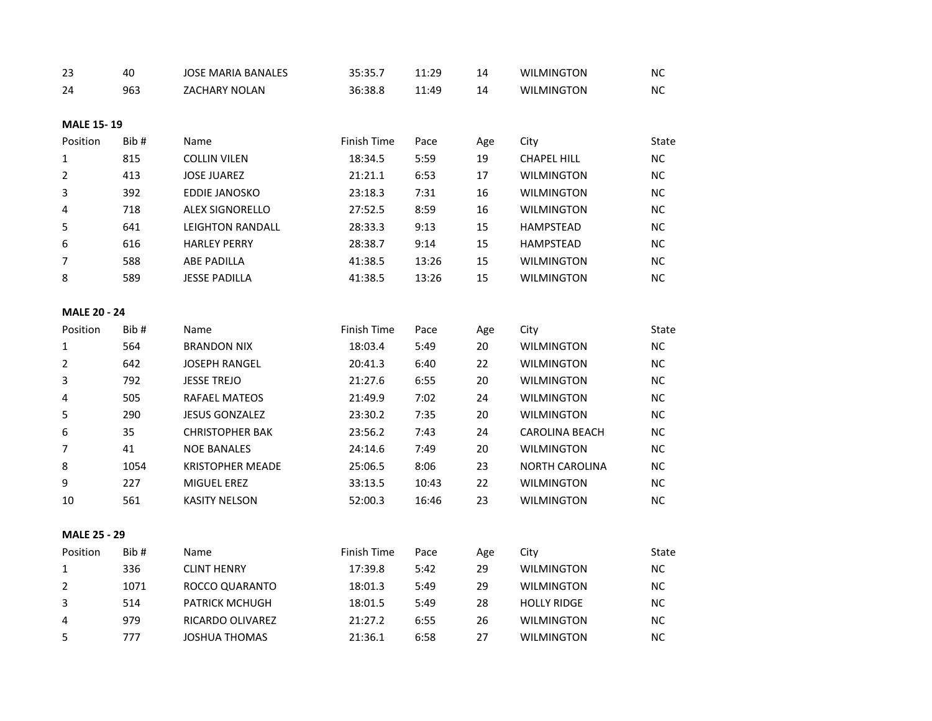| 23                  | 40   | <b>JOSE MARIA BANALES</b> | 35:35.7     | 11:29 | 14  | <b>WILMINGTON</b>     | NC.       |
|---------------------|------|---------------------------|-------------|-------|-----|-----------------------|-----------|
| 24                  | 963  | <b>ZACHARY NOLAN</b>      | 36:38.8     | 11:49 | 14  | <b>WILMINGTON</b>     | NC        |
|                     |      |                           |             |       |     |                       |           |
| <b>MALE 15-19</b>   |      |                           |             |       |     |                       |           |
| Position            | Bib# | Name                      | Finish Time | Pace  | Age | City                  | State     |
| 1                   | 815  | <b>COLLIN VILEN</b>       | 18:34.5     | 5:59  | 19  | <b>CHAPEL HILL</b>    | <b>NC</b> |
| 2                   | 413  | <b>JOSE JUAREZ</b>        | 21:21.1     | 6:53  | 17  | <b>WILMINGTON</b>     | NC        |
| 3                   | 392  | EDDIE JANOSKO             | 23:18.3     | 7:31  | 16  | <b>WILMINGTON</b>     | NC.       |
| 4                   | 718  | <b>ALEX SIGNORELLO</b>    | 27:52.5     | 8:59  | 16  | <b>WILMINGTON</b>     | NC        |
| 5                   | 641  | <b>LEIGHTON RANDALL</b>   | 28:33.3     | 9:13  | 15  | <b>HAMPSTEAD</b>      | NC.       |
| 6                   | 616  | <b>HARLEY PERRY</b>       | 28:38.7     | 9:14  | 15  | <b>HAMPSTEAD</b>      | NC        |
| 7                   | 588  | <b>ABE PADILLA</b>        | 41:38.5     | 13:26 | 15  | <b>WILMINGTON</b>     | NC.       |
| 8                   | 589  | <b>JESSE PADILLA</b>      | 41:38.5     | 13:26 | 15  | <b>WILMINGTON</b>     | NC        |
|                     |      |                           |             |       |     |                       |           |
| <b>MALE 20 - 24</b> |      |                           |             |       |     |                       |           |
| Position            | Bib# | Name                      | Finish Time | Pace  | Age | City                  | State     |
| $\mathbf 1$         | 564  | <b>BRANDON NIX</b>        | 18:03.4     | 5:49  | 20  | <b>WILMINGTON</b>     | NC.       |
| 2                   | 642  | <b>JOSEPH RANGEL</b>      | 20:41.3     | 6:40  | 22  | <b>WILMINGTON</b>     | NC.       |
| 3                   | 792  | <b>JESSE TREJO</b>        | 21:27.6     | 6:55  | 20  | <b>WILMINGTON</b>     | NC        |
| 4                   | 505  | RAFAEL MATEOS             | 21:49.9     | 7:02  | 24  | <b>WILMINGTON</b>     | NC.       |
| 5                   | 290  | <b>JESUS GONZALEZ</b>     | 23:30.2     | 7:35  | 20  | <b>WILMINGTON</b>     | NC        |
| 6                   | 35   | <b>CHRISTOPHER BAK</b>    | 23:56.2     | 7:43  | 24  | <b>CAROLINA BEACH</b> | NC.       |
| $\overline{7}$      | 41   | <b>NOE BANALES</b>        | 24:14.6     | 7:49  | 20  | <b>WILMINGTON</b>     | NC.       |
| 8                   | 1054 | <b>KRISTOPHER MEADE</b>   | 25:06.5     | 8:06  | 23  | <b>NORTH CAROLINA</b> | <b>NC</b> |
| 9                   | 227  | MIGUEL EREZ               | 33:13.5     | 10:43 | 22  | <b>WILMINGTON</b>     | NC        |
| 10                  | 561  | <b>KASITY NELSON</b>      | 52:00.3     | 16:46 | 23  | <b>WILMINGTON</b>     | NC        |
|                     |      |                           |             |       |     |                       |           |
| <b>MALE 25 - 29</b> |      |                           |             |       |     |                       |           |
| Position            | Bib# | Name                      | Finish Time | Pace  | Age | City                  | State     |
| 1                   | 336  | <b>CLINT HENRY</b>        | 17:39.8     | 5:42  | 29  | <b>WILMINGTON</b>     | <b>NC</b> |
| $\overline{2}$      | 1071 | ROCCO QUARANTO            | 18:01.3     | 5:49  | 29  | <b>WILMINGTON</b>     | NC.       |
| 3                   | 514  | <b>PATRICK MCHUGH</b>     | 18:01.5     | 5:49  | 28  | <b>HOLLY RIDGE</b>    | NC.       |
| 4                   | 979  | RICARDO OLIVAREZ          | 21:27.2     | 6:55  | 26  | <b>WILMINGTON</b>     | NC.       |
| 5                   | 777  | <b>JOSHUA THOMAS</b>      | 21:36.1     | 6:58  | 27  | <b>WILMINGTON</b>     | <b>NC</b> |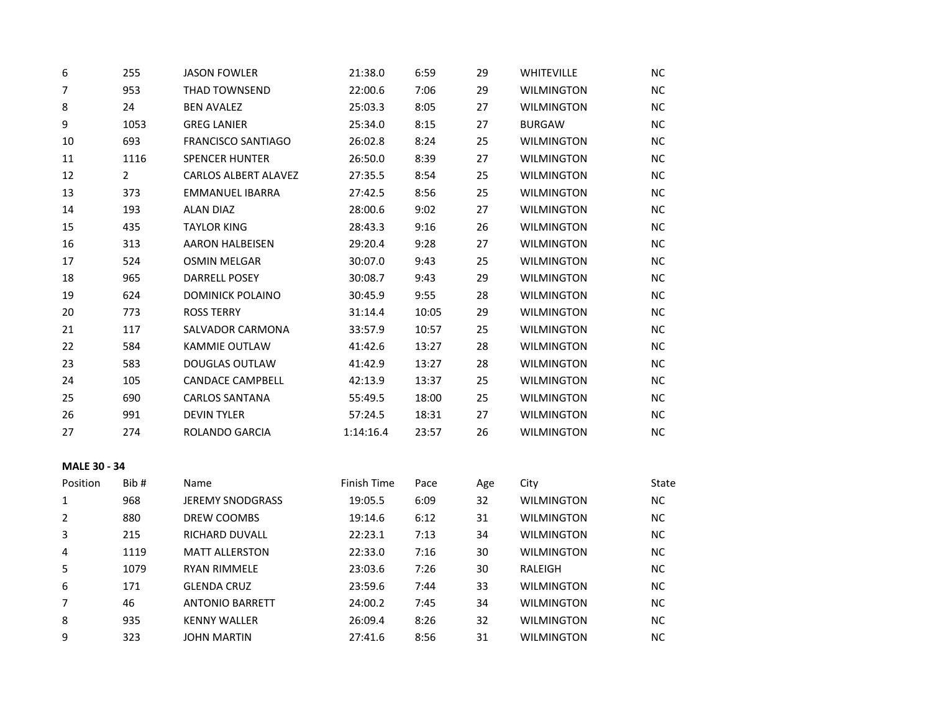| 6                   | 255          | <b>JASON FOWLER</b>         | 21:38.0     | 6:59  | 29  | <b>WHITEVILLE</b> | <b>NC</b>  |
|---------------------|--------------|-----------------------------|-------------|-------|-----|-------------------|------------|
| $\overline{7}$      | 953          | THAD TOWNSEND               | 22:00.6     | 7:06  | 29  | <b>WILMINGTON</b> | ${\sf NC}$ |
| 8                   | 24           | <b>BEN AVALEZ</b>           | 25:03.3     | 8:05  | 27  | WILMINGTON        | NC         |
| 9                   | 1053         | <b>GREG LANIER</b>          | 25:34.0     | 8:15  | 27  | <b>BURGAW</b>     | NC         |
| 10                  | 693          | <b>FRANCISCO SANTIAGO</b>   | 26:02.8     | 8:24  | 25  | <b>WILMINGTON</b> | NC         |
| 11                  | 1116         | <b>SPENCER HUNTER</b>       | 26:50.0     | 8:39  | 27  | <b>WILMINGTON</b> | <b>NC</b>  |
| 12                  | $\mathbf{2}$ | <b>CARLOS ALBERT ALAVEZ</b> | 27:35.5     | 8:54  | 25  | <b>WILMINGTON</b> | NC         |
| 13                  | 373          | EMMANUEL IBARRA             | 27:42.5     | 8:56  | 25  | <b>WILMINGTON</b> | NC         |
| 14                  | 193          | <b>ALAN DIAZ</b>            | 28:00.6     | 9:02  | 27  | <b>WILMINGTON</b> | <b>NC</b>  |
| 15                  | 435          | <b>TAYLOR KING</b>          | 28:43.3     | 9:16  | 26  | <b>WILMINGTON</b> | <b>NC</b>  |
| 16                  | 313          | <b>AARON HALBEISEN</b>      | 29:20.4     | 9:28  | 27  | <b>WILMINGTON</b> | $NC$       |
| 17                  | 524          | <b>OSMIN MELGAR</b>         | 30:07.0     | 9:43  | 25  | WILMINGTON        | <b>NC</b>  |
| 18                  | 965          | DARRELL POSEY               | 30:08.7     | 9:43  | 29  | <b>WILMINGTON</b> | <b>NC</b>  |
| 19                  | 624          | <b>DOMINICK POLAINO</b>     | 30:45.9     | 9:55  | 28  | <b>WILMINGTON</b> | NC         |
| 20                  | 773          | ROSS TERRY                  | 31:14.4     | 10:05 | 29  | <b>WILMINGTON</b> | <b>NC</b>  |
| 21                  | 117          | SALVADOR CARMONA            | 33:57.9     | 10:57 | 25  | <b>WILMINGTON</b> | <b>NC</b>  |
| 22                  | 584          | KAMMIE OUTLAW               | 41:42.6     | 13:27 | 28  | <b>WILMINGTON</b> | <b>NC</b>  |
| 23                  | 583          | <b>DOUGLAS OUTLAW</b>       | 41:42.9     | 13:27 | 28  | <b>WILMINGTON</b> | NC         |
| 24                  | 105          | <b>CANDACE CAMPBELL</b>     | 42:13.9     | 13:37 | 25  | <b>WILMINGTON</b> | <b>NC</b>  |
| 25                  | 690          | <b>CARLOS SANTANA</b>       | 55:49.5     | 18:00 | 25  | <b>WILMINGTON</b> | <b>NC</b>  |
| 26                  | 991          | <b>DEVIN TYLER</b>          | 57:24.5     | 18:31 | 27  | WILMINGTON        | NC         |
| 27                  | 274          | ROLANDO GARCIA              | 1:14:16.4   | 23:57 | 26  | WILMINGTON        | <b>NC</b>  |
|                     |              |                             |             |       |     |                   |            |
| <b>MALE 30 - 34</b> |              |                             |             |       |     |                   |            |
| Position            | Bib#         | Name                        | Finish Time | Pace  | Age | City              | State      |
| 1                   | 968          | <b>JEREMY SNODGRASS</b>     | 19:05.5     | 6:09  | 32  | <b>WILMINGTON</b> | NC         |
| 2                   | 880          | DREW COOMBS                 | 19:14.6     | 6:12  | 31  | <b>WILMINGTON</b> | NC.        |
| 3                   | 215          | RICHARD DUVALL              | 22:23.1     | 7:13  | 34  | <b>WILMINGTON</b> | NC         |
| 4                   | 1119         | <b>MATT ALLERSTON</b>       | 22:33.0     | 7:16  | 30  | <b>WILMINGTON</b> | <b>NC</b>  |
| 5                   | 1079         | <b>RYAN RIMMELE</b>         | 23:03.6     | 7:26  | 30  | RALEIGH           | NC         |
| 6                   | 171          | <b>GLENDA CRUZ</b>          | 23:59.6     | 7:44  | 33  | <b>WILMINGTON</b> | NC         |
| 7                   | 46           | <b>ANTONIO BARRETT</b>      | 24:00.2     | 7:45  | 34  | <b>WILMINGTON</b> | <b>NC</b>  |
| 8                   | 935          | <b>KENNY WALLER</b>         | 26:09.4     | 8:26  | 32  | <b>WILMINGTON</b> | NC         |
| 9                   | 323          | <b>JOHN MARTIN</b>          | 27:41.6     | 8:56  | 31  | <b>WILMINGTON</b> | <b>NC</b>  |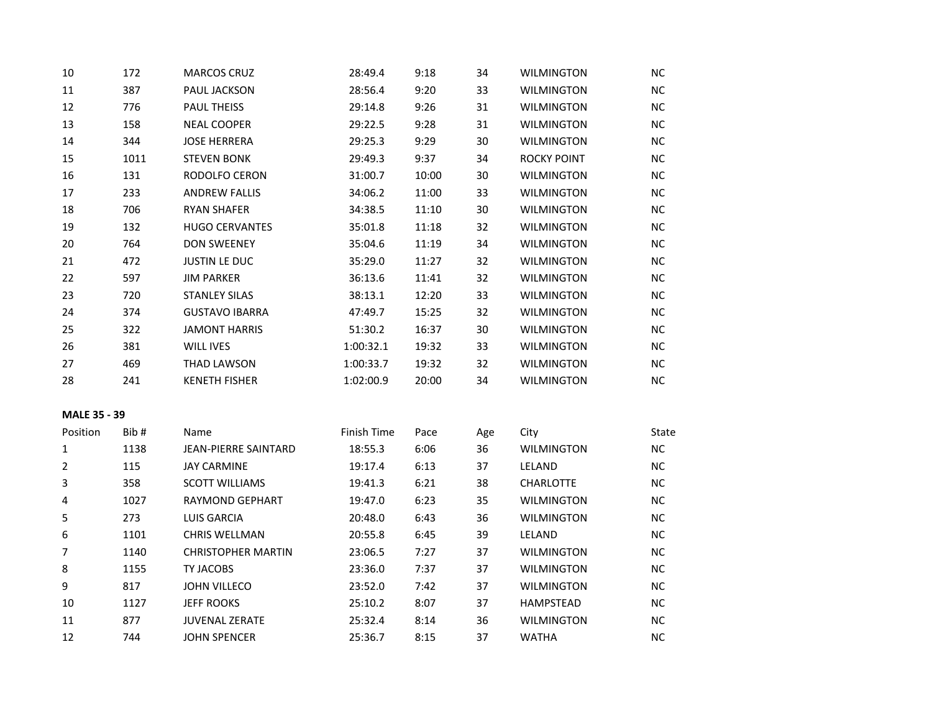| 10                  | 172  | <b>MARCOS CRUZ</b>        | 28:49.4     | 9:18  | 34  | <b>WILMINGTON</b> | <b>NC</b> |
|---------------------|------|---------------------------|-------------|-------|-----|-------------------|-----------|
| $11\,$              | 387  | PAUL JACKSON              | 28:56.4     | 9:20  | 33  | <b>WILMINGTON</b> | NC        |
| 12                  | 776  | <b>PAUL THEISS</b>        | 29:14.8     | 9:26  | 31  | <b>WILMINGTON</b> | NC.       |
| 13                  | 158  | <b>NEAL COOPER</b>        | 29:22.5     | 9:28  | 31  | <b>WILMINGTON</b> | NC.       |
| 14                  | 344  | <b>JOSE HERRERA</b>       | 29:25.3     | 9:29  | 30  | <b>WILMINGTON</b> | NC        |
| 15                  | 1011 | <b>STEVEN BONK</b>        | 29:49.3     | 9:37  | 34  | ROCKY POINT       | NC.       |
| 16                  | 131  | RODOLFO CERON             | 31:00.7     | 10:00 | 30  | <b>WILMINGTON</b> | NC.       |
| 17                  | 233  | <b>ANDREW FALLIS</b>      | 34:06.2     | 11:00 | 33  | <b>WILMINGTON</b> | NC        |
| 18                  | 706  | <b>RYAN SHAFER</b>        | 34:38.5     | 11:10 | 30  | <b>WILMINGTON</b> | NC        |
| 19                  | 132  | <b>HUGO CERVANTES</b>     | 35:01.8     | 11:18 | 32  | <b>WILMINGTON</b> | NC        |
| 20                  | 764  | <b>DON SWEENEY</b>        | 35:04.6     | 11:19 | 34  | <b>WILMINGTON</b> | <b>NC</b> |
| 21                  | 472  | <b>JUSTIN LE DUC</b>      | 35:29.0     | 11:27 | 32  | <b>WILMINGTON</b> | NC.       |
| 22                  | 597  | <b>JIM PARKER</b>         | 36:13.6     | 11:41 | 32  | <b>WILMINGTON</b> | NC.       |
| 23                  | 720  | <b>STANLEY SILAS</b>      | 38:13.1     | 12:20 | 33  | <b>WILMINGTON</b> | NC        |
| 24                  | 374  | <b>GUSTAVO IBARRA</b>     | 47:49.7     | 15:25 | 32  | <b>WILMINGTON</b> | NC.       |
| 25                  | 322  | <b>JAMONT HARRIS</b>      | 51:30.2     | 16:37 | 30  | <b>WILMINGTON</b> | <b>NC</b> |
| 26                  | 381  | WILL IVES                 | 1:00:32.1   | 19:32 | 33  | <b>WILMINGTON</b> | NC        |
| 27                  | 469  | <b>THAD LAWSON</b>        | 1:00:33.7   | 19:32 | 32  | <b>WILMINGTON</b> | NC        |
| 28                  | 241  | <b>KENETH FISHER</b>      | 1:02:00.9   | 20:00 | 34  | <b>WILMINGTON</b> | <b>NC</b> |
| <b>MALE 35 - 39</b> |      |                           |             |       |     |                   |           |
| Position            | Bib# | Name                      | Finish Time | Pace  | Age | City              | State     |
| 1                   | 1138 | JEAN-PIERRE SAINTARD      | 18:55.3     | 6:06  | 36  | <b>WILMINGTON</b> | <b>NC</b> |
| 2                   | 115  | <b>JAY CARMINE</b>        | 19:17.4     | 6:13  | 37  | LELAND            | NC        |
| 3                   | 358  | <b>SCOTT WILLIAMS</b>     | 19:41.3     | 6:21  | 38  | CHARLOTTE         | NC        |
| 4                   | 1027 | RAYMOND GEPHART           | 19:47.0     | 6:23  | 35  | <b>WILMINGTON</b> | NC        |
| 5                   | 273  | <b>LUIS GARCIA</b>        | 20:48.0     | 6:43  | 36  | <b>WILMINGTON</b> | NC.       |
| 6                   | 1101 | <b>CHRIS WELLMAN</b>      | 20:55.8     | 6:45  | 39  | LELAND            | NC.       |
| 7                   | 1140 | <b>CHRISTOPHER MARTIN</b> | 23:06.5     | 7:27  | 37  | <b>WILMINGTON</b> | NC.       |
| 8                   | 1155 | TY JACOBS                 | 23:36.0     | 7:37  | 37  | <b>WILMINGTON</b> | ΝC        |
| 9                   | 817  | <b>JOHN VILLECO</b>       | 23:52.0     | 7:42  | 37  | <b>WILMINGTON</b> | NC.       |
| 10                  | 1127 | <b>JEFF ROOKS</b>         | 25:10.2     | 8:07  | 37  | <b>HAMPSTEAD</b>  | <b>NC</b> |
| $11\,$              | 877  | <b>JUVENAL ZERATE</b>     | 25:32.4     | 8:14  | 36  | <b>WILMINGTON</b> | NC        |
| 12                  | 744  | <b>JOHN SPENCER</b>       | 25:36.7     | 8:15  | 37  | <b>WATHA</b>      | <b>NC</b> |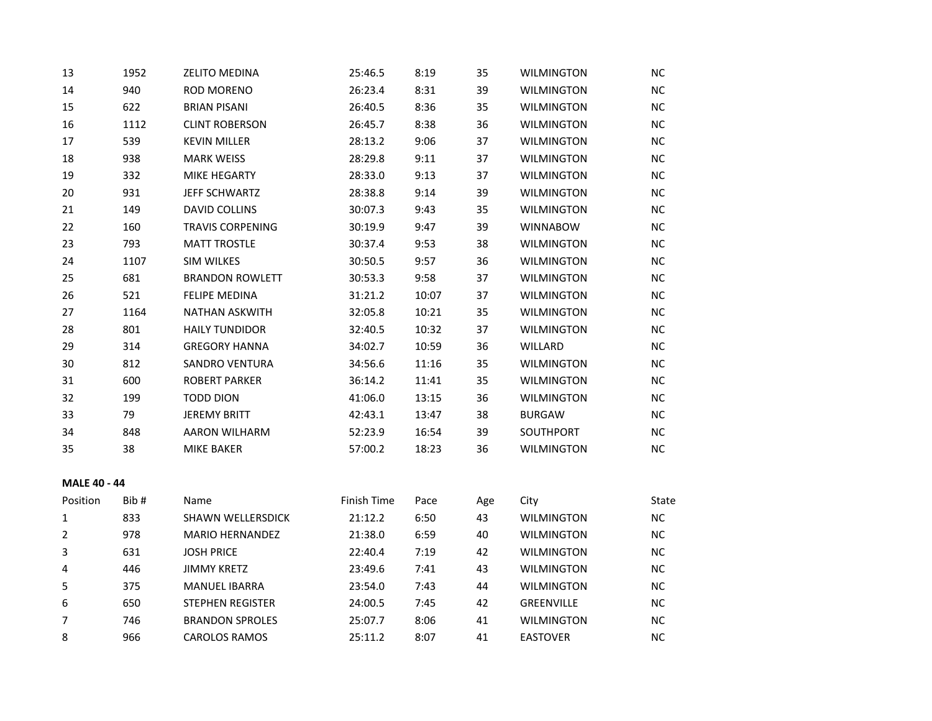| 13                  | 1952 | <b>ZELITO MEDINA</b>    | 25:46.5     | 8:19  | 35  | <b>WILMINGTON</b> | <b>NC</b> |
|---------------------|------|-------------------------|-------------|-------|-----|-------------------|-----------|
| 14                  | 940  | <b>ROD MORENO</b>       | 26:23.4     | 8:31  | 39  | <b>WILMINGTON</b> | NC.       |
| 15                  | 622  | <b>BRIAN PISANI</b>     | 26:40.5     | 8:36  | 35  | <b>WILMINGTON</b> | NC        |
| 16                  | 1112 | <b>CLINT ROBERSON</b>   | 26:45.7     | 8:38  | 36  | <b>WILMINGTON</b> | NC.       |
| 17                  | 539  | <b>KEVIN MILLER</b>     | 28:13.2     | 9:06  | 37  | <b>WILMINGTON</b> | NC        |
| 18                  | 938  | <b>MARK WEISS</b>       | 28:29.8     | 9:11  | 37  | <b>WILMINGTON</b> | NC        |
| 19                  | 332  | MIKE HEGARTY            | 28:33.0     | 9:13  | 37  | <b>WILMINGTON</b> | NC        |
| 20                  | 931  | JEFF SCHWARTZ           | 28:38.8     | 9:14  | 39  | <b>WILMINGTON</b> | NC        |
| 21                  | 149  | DAVID COLLINS           | 30:07.3     | 9:43  | 35  | <b>WILMINGTON</b> | NC.       |
| 22                  | 160  | <b>TRAVIS CORPENING</b> | 30:19.9     | 9:47  | 39  | <b>WINNABOW</b>   | NC.       |
| 23                  | 793  | <b>MATT TROSTLE</b>     | 30:37.4     | 9:53  | 38  | <b>WILMINGTON</b> | NC.       |
| 24                  | 1107 | <b>SIM WILKES</b>       | 30:50.5     | 9:57  | 36  | <b>WILMINGTON</b> | NC.       |
| 25                  | 681  | <b>BRANDON ROWLETT</b>  | 30:53.3     | 9:58  | 37  | <b>WILMINGTON</b> | NC.       |
| 26                  | 521  | <b>FELIPE MEDINA</b>    | 31:21.2     | 10:07 | 37  | <b>WILMINGTON</b> | NC.       |
| 27                  | 1164 | <b>NATHAN ASKWITH</b>   | 32:05.8     | 10:21 | 35  | <b>WILMINGTON</b> | <b>NC</b> |
| 28                  | 801  | <b>HAILY TUNDIDOR</b>   | 32:40.5     | 10:32 | 37  | <b>WILMINGTON</b> | NC.       |
| 29                  | 314  | <b>GREGORY HANNA</b>    | 34:02.7     | 10:59 | 36  | WILLARD           | NC        |
| 30                  | 812  | <b>SANDRO VENTURA</b>   | 34:56.6     | 11:16 | 35  | <b>WILMINGTON</b> | NC        |
| 31                  | 600  | <b>ROBERT PARKER</b>    | 36:14.2     | 11:41 | 35  | <b>WILMINGTON</b> | NC.       |
| 32                  | 199  | <b>TODD DION</b>        | 41:06.0     | 13:15 | 36  | <b>WILMINGTON</b> | <b>NC</b> |
| 33                  | 79   | <b>JEREMY BRITT</b>     | 42:43.1     | 13:47 | 38  | <b>BURGAW</b>     | NC.       |
| 34                  | 848  | <b>AARON WILHARM</b>    | 52:23.9     | 16:54 | 39  | SOUTHPORT         | NC.       |
| 35                  | 38   | MIKE BAKER              | 57:00.2     | 18:23 | 36  | <b>WILMINGTON</b> | <b>NC</b> |
| <b>MALE 40 - 44</b> |      |                         |             |       |     |                   |           |
| Position            | Bib# | Name                    | Finish Time | Pace  | Age | City              | State     |
| $\mathbf{1}$        | 833  | SHAWN WELLERSDICK       | 21:12.2     | 6:50  | 43  | <b>WILMINGTON</b> | NC        |
| 2                   | 978  | <b>MARIO HERNANDEZ</b>  | 21:38.0     | 6:59  | 40  | <b>WILMINGTON</b> | NC        |
| 3                   | 631  | <b>JOSH PRICE</b>       | 22:40.4     | 7:19  | 42  | <b>WILMINGTON</b> | NC.       |
| 4                   | 446  | <b>JIMMY KRETZ</b>      | 23:49.6     | 7:41  | 43  | <b>WILMINGTON</b> | <b>NC</b> |
| 5                   | 375  | <b>MANUEL IBARRA</b>    | 23:54.0     | 7:43  | 44  | <b>WILMINGTON</b> | NC.       |
| 6                   | 650  | <b>STEPHEN REGISTER</b> | 24:00.5     | 7:45  | 42  | <b>GREENVILLE</b> | <b>NC</b> |

 746 BRANDON SPROLES 25:07.7 8:06 41 WILMINGTON NC 966 CAROLOS RAMOS 25:11.2 8:07 41 EASTOVER NC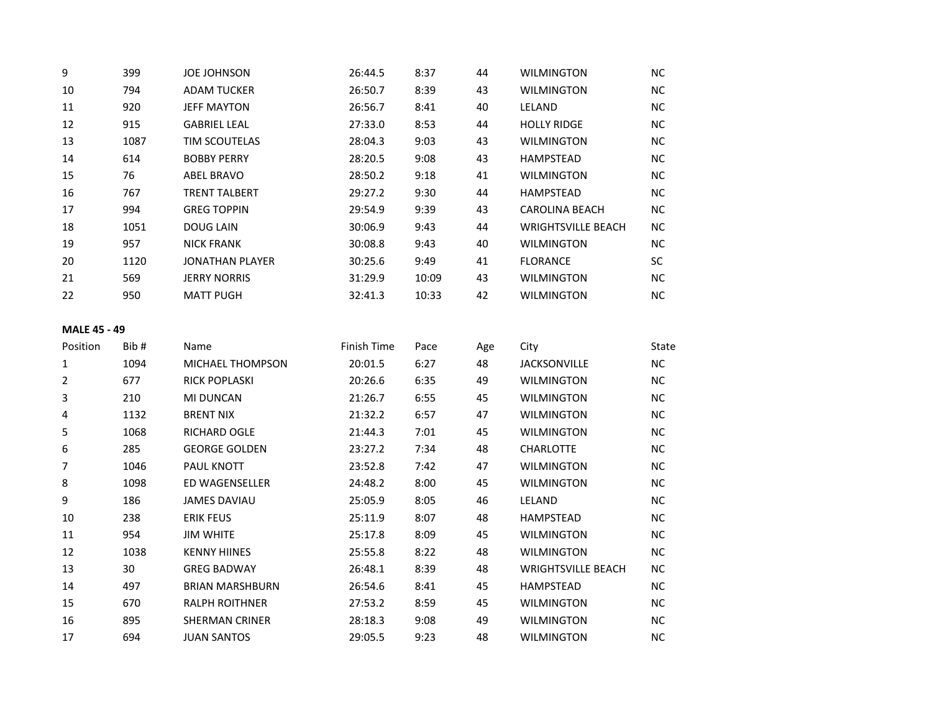| 9  | 399  | <b>JOE JOHNSON</b>   | 26:44.5 | 8:37  | 44 | <b>WILMINGTON</b>         | NC.       |
|----|------|----------------------|---------|-------|----|---------------------------|-----------|
| 10 | 794  | <b>ADAM TUCKER</b>   | 26:50.7 | 8:39  | 43 | <b>WILMINGTON</b>         | NC.       |
| 11 | 920  | <b>JEFF MAYTON</b>   | 26:56.7 | 8:41  | 40 | LELAND                    | NC.       |
| 12 | 915  | <b>GABRIEL LEAL</b>  | 27:33.0 | 8:53  | 44 | <b>HOLLY RIDGE</b>        | NC.       |
| 13 | 1087 | <b>TIM SCOUTELAS</b> | 28:04.3 | 9:03  | 43 | <b>WILMINGTON</b>         | NC.       |
| 14 | 614  | <b>BOBBY PERRY</b>   | 28:20.5 | 9:08  | 43 | <b>HAMPSTEAD</b>          | NC.       |
| 15 | 76   | ABEL BRAVO           | 28:50.2 | 9:18  | 41 | <b>WILMINGTON</b>         | NC.       |
| 16 | 767  | <b>TRENT TALBERT</b> | 29:27.2 | 9:30  | 44 | <b>HAMPSTEAD</b>          | NC.       |
| 17 | 994  | <b>GREG TOPPIN</b>   | 29:54.9 | 9:39  | 43 | <b>CAROLINA BEACH</b>     | NC.       |
| 18 | 1051 | <b>DOUG LAIN</b>     | 30:06.9 | 9:43  | 44 | <b>WRIGHTSVILLE BEACH</b> | NC.       |
| 19 | 957  | <b>NICK FRANK</b>    | 30:08.8 | 9:43  | 40 | <b>WILMINGTON</b>         | <b>NC</b> |
| 20 | 1120 | JONATHAN PLAYER      | 30:25.6 | 9:49  | 41 | <b>FLORANCE</b>           | <b>SC</b> |
| 21 | 569  | <b>JERRY NORRIS</b>  | 31:29.9 | 10:09 | 43 | <b>WILMINGTON</b>         | NC.       |
| 22 | 950  | <b>MATT PUGH</b>     | 32:41.3 | 10:33 | 42 | <b>WILMINGTON</b>         | <b>NC</b> |
|    |      |                      |         |       |    |                           |           |

# **MALE 45 - 49**

| Position | Bib# | Name                    | Finish Time | Pace | Age | City                      | State     |
|----------|------|-------------------------|-------------|------|-----|---------------------------|-----------|
| 1        | 1094 | <b>MICHAEL THOMPSON</b> | 20:01.5     | 6:27 | 48  | <b>JACKSONVILLE</b>       | <b>NC</b> |
| 2        | 677  | <b>RICK POPLASKI</b>    | 20:26.6     | 6:35 | 49  | <b>WILMINGTON</b>         | <b>NC</b> |
| 3        | 210  | MI DUNCAN               | 21:26.7     | 6:55 | 45  | WILMINGTON                | <b>NC</b> |
| 4        | 1132 | <b>BRENT NIX</b>        | 21:32.2     | 6:57 | 47  | <b>WILMINGTON</b>         | <b>NC</b> |
| 5        | 1068 | <b>RICHARD OGLE</b>     | 21:44.3     | 7:01 | 45  | <b>WILMINGTON</b>         | <b>NC</b> |
| 6        | 285  | <b>GEORGE GOLDEN</b>    | 23:27.2     | 7:34 | 48  | <b>CHARLOTTE</b>          | <b>NC</b> |
| 7        | 1046 | <b>PAUL KNOTT</b>       | 23:52.8     | 7:42 | 47  | <b>WILMINGTON</b>         | <b>NC</b> |
| 8        | 1098 | ED WAGENSELLER          | 24:48.2     | 8:00 | 45  | <b>WILMINGTON</b>         | <b>NC</b> |
| 9        | 186  | <b>JAMES DAVIAU</b>     | 25:05.9     | 8:05 | 46  | LELAND                    | <b>NC</b> |
| 10       | 238  | <b>ERIK FEUS</b>        | 25:11.9     | 8:07 | 48  | <b>HAMPSTEAD</b>          | <b>NC</b> |
| 11       | 954  | <b>JIM WHITE</b>        | 25:17.8     | 8:09 | 45  | <b>WILMINGTON</b>         | <b>NC</b> |
| 12       | 1038 | <b>KENNY HIINES</b>     | 25:55.8     | 8:22 | 48  | <b>WILMINGTON</b>         | <b>NC</b> |
| 13       | 30   | <b>GREG BADWAY</b>      | 26:48.1     | 8:39 | 48  | <b>WRIGHTSVILLE BEACH</b> | <b>NC</b> |
| 14       | 497  | <b>BRIAN MARSHBURN</b>  | 26:54.6     | 8:41 | 45  | <b>HAMPSTEAD</b>          | <b>NC</b> |
| 15       | 670  | <b>RALPH ROITHNER</b>   | 27:53.2     | 8:59 | 45  | <b>WILMINGTON</b>         | <b>NC</b> |
| 16       | 895  | <b>SHERMAN CRINER</b>   | 28:18.3     | 9:08 | 49  | <b>WILMINGTON</b>         | <b>NC</b> |
| 17       | 694  | <b>JUAN SANTOS</b>      | 29:05.5     | 9:23 | 48  | <b>WILMINGTON</b>         | <b>NC</b> |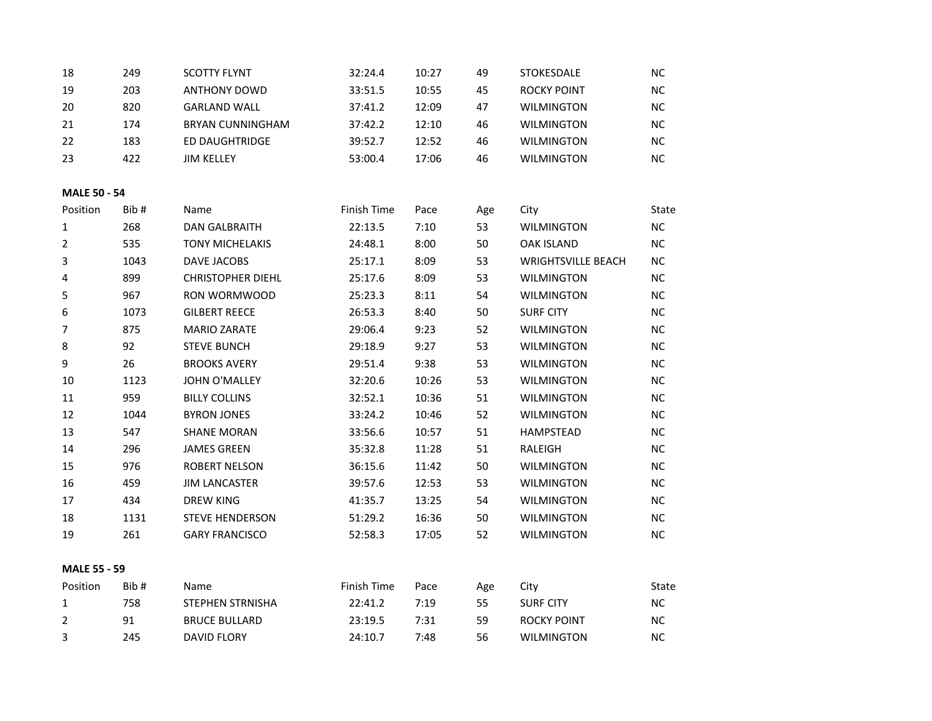| 18                  | 249  | <b>SCOTTY FLYNT</b>      | 32:24.4     | 10:27 | 49  | STOKESDALE                | NC.       |
|---------------------|------|--------------------------|-------------|-------|-----|---------------------------|-----------|
| 19                  | 203  | <b>ANTHONY DOWD</b>      | 33:51.5     | 10:55 | 45  | <b>ROCKY POINT</b>        | NC        |
| 20                  | 820  | <b>GARLAND WALL</b>      | 37:41.2     | 12:09 | 47  | <b>WILMINGTON</b>         | NC        |
| 21                  | 174  | <b>BRYAN CUNNINGHAM</b>  | 37:42.2     | 12:10 | 46  | <b>WILMINGTON</b>         | <b>NC</b> |
| 22                  | 183  | ED DAUGHTRIDGE           | 39:52.7     | 12:52 | 46  | <b>WILMINGTON</b>         | NC        |
| 23                  | 422  | <b>JIM KELLEY</b>        | 53:00.4     | 17:06 | 46  | <b>WILMINGTON</b>         | <b>NC</b> |
| <b>MALE 50 - 54</b> |      |                          |             |       |     |                           |           |
| Position            | Bib# | Name                     | Finish Time | Pace  | Age | City                      | State     |
| 1                   | 268  | <b>DAN GALBRAITH</b>     | 22:13.5     | 7:10  | 53  | <b>WILMINGTON</b>         | <b>NC</b> |
| $\overline{2}$      | 535  | <b>TONY MICHELAKIS</b>   | 24:48.1     | 8:00  | 50  | <b>OAK ISLAND</b>         | NC        |
| 3                   | 1043 | DAVE JACOBS              | 25:17.1     | 8:09  | 53  | <b>WRIGHTSVILLE BEACH</b> | NC.       |
| 4                   | 899  | <b>CHRISTOPHER DIEHL</b> | 25:17.6     | 8:09  | 53  | <b>WILMINGTON</b>         | NC        |
| 5                   | 967  | RON WORMWOOD             | 25:23.3     | 8:11  | 54  | <b>WILMINGTON</b>         | <b>NC</b> |
| 6                   | 1073 | <b>GILBERT REECE</b>     | 26:53.3     | 8:40  | 50  | <b>SURF CITY</b>          | NC        |
| 7                   | 875  | <b>MARIO ZARATE</b>      | 29:06.4     | 9:23  | 52  | <b>WILMINGTON</b>         | <b>NC</b> |
| $\,8\,$             | 92   | <b>STEVE BUNCH</b>       | 29:18.9     | 9:27  | 53  | <b>WILMINGTON</b>         | NC        |
| 9                   | 26   | <b>BROOKS AVERY</b>      | 29:51.4     | 9:38  | 53  | <b>WILMINGTON</b>         | NC        |
| 10                  | 1123 | <b>JOHN O'MALLEY</b>     | 32:20.6     | 10:26 | 53  | <b>WILMINGTON</b>         | NC        |
| 11                  | 959  | <b>BILLY COLLINS</b>     | 32:52.1     | 10:36 | 51  | <b>WILMINGTON</b>         | NC.       |
| 12                  | 1044 | <b>BYRON JONES</b>       | 33:24.2     | 10:46 | 52  | <b>WILMINGTON</b>         | NC        |
| 13                  | 547  | <b>SHANE MORAN</b>       | 33:56.6     | 10:57 | 51  | <b>HAMPSTEAD</b>          | NC        |
| 14                  | 296  | <b>JAMES GREEN</b>       | 35:32.8     | 11:28 | 51  | RALEIGH                   | NC        |
| 15                  | 976  | <b>ROBERT NELSON</b>     | 36:15.6     | 11:42 | 50  | <b>WILMINGTON</b>         | NC.       |
| 16                  | 459  | <b>JIM LANCASTER</b>     | 39:57.6     | 12:53 | 53  | <b>WILMINGTON</b>         | NC.       |
| 17                  | 434  | <b>DREW KING</b>         | 41:35.7     | 13:25 | 54  | <b>WILMINGTON</b>         | NC        |
| 18                  | 1131 | <b>STEVE HENDERSON</b>   | 51:29.2     | 16:36 | 50  | <b>WILMINGTON</b>         | NC        |
| 19                  | 261  | <b>GARY FRANCISCO</b>    | 52:58.3     | 17:05 | 52  | <b>WILMINGTON</b>         | NC        |
| <b>MALE 55 - 59</b> |      |                          |             |       |     |                           |           |
| Position            | Bib# | Name                     | Finish Time | Pace  | Age | City                      | State     |
| $\mathbf{1}$        | 758  | STEPHEN STRNISHA         | 22:41.2     | 7:19  | 55  | <b>SURF CITY</b>          | NC        |
| $\overline{2}$      | 91   | <b>BRUCE BULLARD</b>     | 23:19.5     | 7:31  | 59  | <b>ROCKY POINT</b>        | NC        |
| 3                   | 245  | <b>DAVID FLORY</b>       | 24:10.7     | 7:48  | 56  | <b>WILMINGTON</b>         | <b>NC</b> |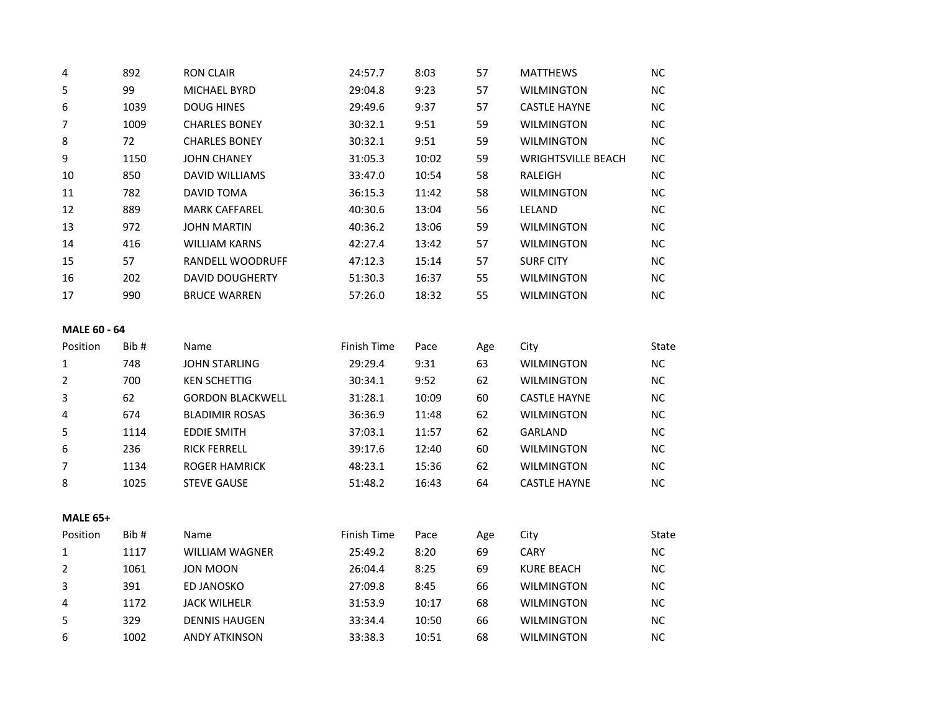| 4                   | 892  | <b>RON CLAIR</b>        | 24:57.7     | 8:03  | 57  | <b>MATTHEWS</b>           | NC.       |
|---------------------|------|-------------------------|-------------|-------|-----|---------------------------|-----------|
| 5                   | 99   | <b>MICHAEL BYRD</b>     | 29:04.8     | 9:23  | 57  | <b>WILMINGTON</b>         | <b>NC</b> |
| 6                   | 1039 | <b>DOUG HINES</b>       | 29:49.6     | 9:37  | 57  | <b>CASTLE HAYNE</b>       | NC.       |
| $\overline{7}$      | 1009 | <b>CHARLES BONEY</b>    | 30:32.1     | 9:51  | 59  | <b>WILMINGTON</b>         | NC.       |
| 8                   | 72   | <b>CHARLES BONEY</b>    | 30:32.1     | 9:51  | 59  | <b>WILMINGTON</b>         | NC.       |
| 9                   | 1150 | <b>JOHN CHANEY</b>      | 31:05.3     | 10:02 | 59  | <b>WRIGHTSVILLE BEACH</b> | NC.       |
| 10                  | 850  | <b>DAVID WILLIAMS</b>   | 33:47.0     | 10:54 | 58  | <b>RALEIGH</b>            | <b>NC</b> |
| 11                  | 782  | DAVID TOMA              | 36:15.3     | 11:42 | 58  | <b>WILMINGTON</b>         | NC.       |
| 12                  | 889  | <b>MARK CAFFAREL</b>    | 40:30.6     | 13:04 | 56  | LELAND                    | NC.       |
| 13                  | 972  | <b>JOHN MARTIN</b>      | 40:36.2     | 13:06 | 59  | <b>WILMINGTON</b>         | NC.       |
| 14                  | 416  | <b>WILLIAM KARNS</b>    | 42:27.4     | 13:42 | 57  | <b>WILMINGTON</b>         | NC.       |
| 15                  | 57   | RANDELL WOODRUFF        | 47:12.3     | 15:14 | 57  | <b>SURF CITY</b>          | NC.       |
| 16                  | 202  | <b>DAVID DOUGHERTY</b>  | 51:30.3     | 16:37 | 55  | <b>WILMINGTON</b>         | NC.       |
| 17                  | 990  | <b>BRUCE WARREN</b>     | 57:26.0     | 18:32 | 55  | <b>WILMINGTON</b>         | <b>NC</b> |
| <b>MALE 60 - 64</b> |      |                         |             |       |     |                           |           |
| Position            | Bib# | Name                    | Finish Time | Pace  | Age | City                      | State     |
| $\mathbf{1}$        | 748  | <b>JOHN STARLING</b>    | 29:29.4     | 9:31  | 63  | <b>WILMINGTON</b>         | NC.       |
| $\overline{2}$      | 700  | <b>KEN SCHETTIG</b>     | 30:34.1     | 9:52  | 62  | <b>WILMINGTON</b>         | NC.       |
| 3                   | 62   | <b>GORDON BLACKWELL</b> | 31:28.1     | 10:09 | 60  | <b>CASTLE HAYNE</b>       | NC.       |
| 4                   | 674  | <b>BLADIMIR ROSAS</b>   | 36:36.9     | 11:48 | 62  | <b>WILMINGTON</b>         | <b>NC</b> |
| 5                   | 1114 | <b>EDDIE SMITH</b>      | 37:03.1     | 11:57 | 62  | GARLAND                   | NC.       |
| 6                   | 236  | <b>RICK FERRELL</b>     | 39:17.6     | 12:40 | 60  | <b>WILMINGTON</b>         | NC.       |
| 7                   | 1134 | <b>ROGER HAMRICK</b>    | 48:23.1     | 15:36 | 62  | <b>WILMINGTON</b>         | <b>NC</b> |
| 8                   | 1025 | <b>STEVE GAUSE</b>      | 51:48.2     | 16:43 | 64  | <b>CASTLE HAYNE</b>       | NC.       |
| <b>MALE 65+</b>     |      |                         |             |       |     |                           |           |

| Position | Bib# | <b>Name</b>           | Finish Time | Pace  | Age | City              | State     |
|----------|------|-----------------------|-------------|-------|-----|-------------------|-----------|
|          | 1117 | <b>WILLIAM WAGNER</b> | 25:49.2     | 8:20  | 69  | <b>CARY</b>       | <b>NC</b> |
| 2        | 1061 | JON MOON              | 26:04.4     | 8:25  | 69  | <b>KURE BEACH</b> | <b>NC</b> |
| 3        | 391  | ED JANOSKO            | 27:09.8     | 8:45  | 66  | <b>WILMINGTON</b> | <b>NC</b> |
| 4        | 1172 | <b>JACK WILHELR</b>   | 31:53.9     | 10:17 | 68  | <b>WILMINGTON</b> | <b>NC</b> |
| .5       | 329  | <b>DENNIS HAUGEN</b>  | 33:34.4     | 10:50 | 66  | <b>WILMINGTON</b> | <b>NC</b> |
| 6        | 1002 | ANDY ATKINSON         | 33:38.3     | 10:51 | 68  | <b>WILMINGTON</b> | ΝC        |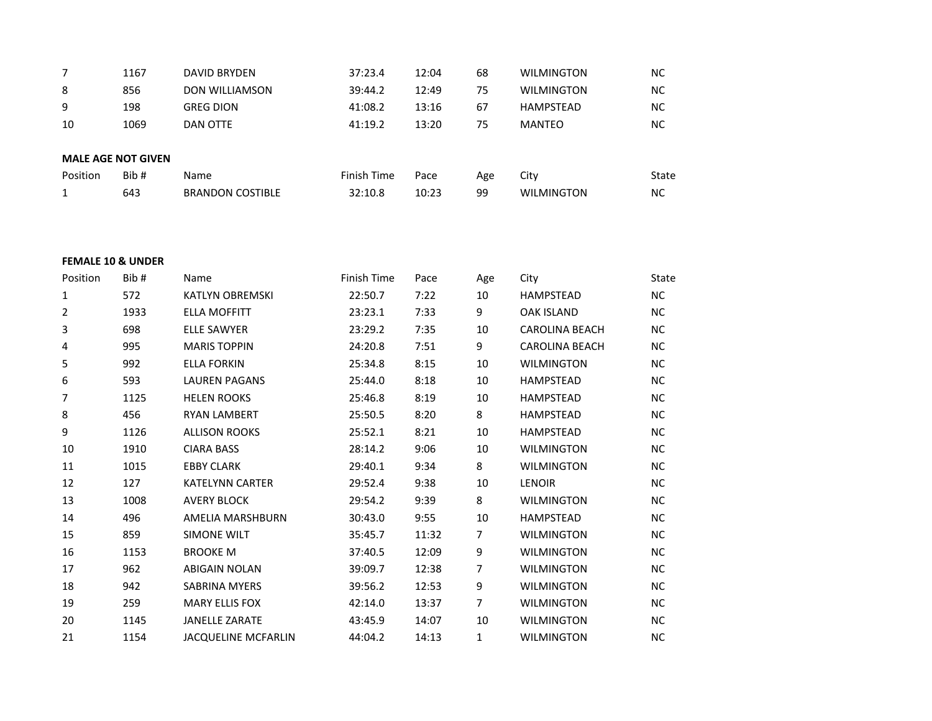|          | 1167                      | <b>DAVID BRYDEN</b>     | 37:23.4     | 12:04 | 68  | <b>WILMINGTON</b> | <b>NC</b> |
|----------|---------------------------|-------------------------|-------------|-------|-----|-------------------|-----------|
| 8        | 856                       | <b>DON WILLIAMSON</b>   | 39:44.2     | 12:49 | 75  | <b>WILMINGTON</b> | <b>NC</b> |
| 9        | 198                       | <b>GREG DION</b>        | 41:08.2     | 13:16 | 67  | <b>HAMPSTEAD</b>  | <b>NC</b> |
| 10       | 1069                      | DAN OTTE                | 41:19.2     | 13:20 | 75  | MANTEO            | <b>NC</b> |
|          |                           |                         |             |       |     |                   |           |
|          | <b>MALE AGE NOT GIVEN</b> |                         |             |       |     |                   |           |
| Position | Bib#                      | <b>Name</b>             | Finish Time | Pace  | Age | City              | State     |
|          | 643                       | <b>BRANDON COSTIBLE</b> | 32:10.8     | 10:23 | 99  | <b>WILMINGTON</b> | <b>NC</b> |
|          |                           |                         |             |       |     |                   |           |

### **FEMALE 10 & UNDER**

| Position | Bib# | Name                       | Finish Time | Pace  | Age            | City                  | <b>State</b> |
|----------|------|----------------------------|-------------|-------|----------------|-----------------------|--------------|
| 1        | 572  | <b>KATLYN OBREMSKI</b>     | 22:50.7     | 7:22  | 10             | <b>HAMPSTEAD</b>      | <b>NC</b>    |
| 2        | 1933 | <b>ELLA MOFFITT</b>        | 23:23.1     | 7:33  | 9              | <b>OAK ISLAND</b>     | <b>NC</b>    |
| 3        | 698  | <b>ELLE SAWYER</b>         | 23:29.2     | 7:35  | 10             | <b>CAROLINA BEACH</b> | NC           |
| 4        | 995  | <b>MARIS TOPPIN</b>        | 24:20.8     | 7:51  | 9              | <b>CAROLINA BEACH</b> | NC.          |
| 5        | 992  | <b>ELLA FORKIN</b>         | 25:34.8     | 8:15  | 10             | <b>WILMINGTON</b>     | NC.          |
| 6        | 593  | <b>LAUREN PAGANS</b>       | 25:44.0     | 8:18  | 10             | <b>HAMPSTEAD</b>      | NC.          |
| 7        | 1125 | <b>HELEN ROOKS</b>         | 25:46.8     | 8:19  | 10             | <b>HAMPSTEAD</b>      | NC.          |
| 8        | 456  | <b>RYAN LAMBERT</b>        | 25:50.5     | 8:20  | 8              | <b>HAMPSTEAD</b>      | NC.          |
| 9        | 1126 | <b>ALLISON ROOKS</b>       | 25:52.1     | 8:21  | 10             | <b>HAMPSTEAD</b>      | NC.          |
| 10       | 1910 | <b>CIARA BASS</b>          | 28:14.2     | 9:06  | 10             | <b>WILMINGTON</b>     | NC           |
| 11       | 1015 | <b>EBBY CLARK</b>          | 29:40.1     | 9:34  | 8              | <b>WILMINGTON</b>     | NС           |
| 12       | 127  | <b>KATELYNN CARTER</b>     | 29:52.4     | 9:38  | 10             | <b>LENOIR</b>         | <b>NC</b>    |
| 13       | 1008 | <b>AVERY BLOCK</b>         | 29:54.2     | 9:39  | 8              | <b>WILMINGTON</b>     | NC.          |
| 14       | 496  | AMELIA MARSHBURN           | 30:43.0     | 9:55  | 10             | <b>HAMPSTEAD</b>      | <b>NC</b>    |
| 15       | 859  | <b>SIMONE WILT</b>         | 35:45.7     | 11:32 | $\overline{7}$ | <b>WILMINGTON</b>     | NC.          |
| 16       | 1153 | <b>BROOKE M</b>            | 37:40.5     | 12:09 | 9              | <b>WILMINGTON</b>     | <b>NC</b>    |
| 17       | 962  | <b>ABIGAIN NOLAN</b>       | 39:09.7     | 12:38 | 7              | <b>WILMINGTON</b>     | NC.          |
| 18       | 942  | <b>SABRINA MYERS</b>       | 39:56.2     | 12:53 | 9              | <b>WILMINGTON</b>     | ΝC           |
| 19       | 259  | <b>MARY ELLIS FOX</b>      | 42:14.0     | 13:37 | 7              | <b>WILMINGTON</b>     | NC.          |
| 20       | 1145 | <b>JANELLE ZARATE</b>      | 43:45.9     | 14:07 | 10             | <b>WILMINGTON</b>     | <b>NC</b>    |
| 21       | 1154 | <b>JACQUELINE MCFARLIN</b> | 44:04.2     | 14:13 | 1              | <b>WILMINGTON</b>     | <b>NC</b>    |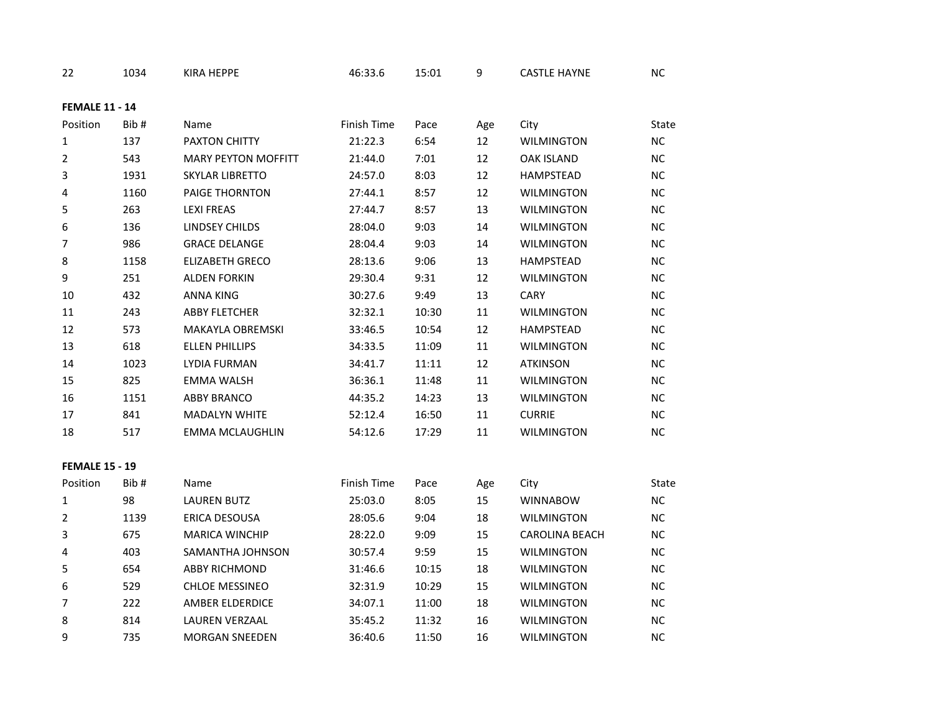| 22                    | 1034 | KIRA HEPPE                 | 46:33.6     | 15:01 | 9      | <b>CASTLE HAYNE</b>   | ${\sf NC}$ |  |
|-----------------------|------|----------------------------|-------------|-------|--------|-----------------------|------------|--|
| <b>FEMALE 11 - 14</b> |      |                            |             |       |        |                       |            |  |
| Position              | Bib# | Name                       | Finish Time | Pace  | Age    | City                  | State      |  |
| $\mathbf{1}$          | 137  | PAXTON CHITTY              | 21:22.3     | 6:54  | 12     | <b>WILMINGTON</b>     | NC         |  |
| $\overline{2}$        | 543  | <b>MARY PEYTON MOFFITT</b> | 21:44.0     | 7:01  | 12     | <b>OAK ISLAND</b>     | <b>NC</b>  |  |
| 3                     | 1931 | <b>SKYLAR LIBRETTO</b>     | 24:57.0     | 8:03  | 12     | HAMPSTEAD             | NC         |  |
| 4                     | 1160 | PAIGE THORNTON             | 27:44.1     | 8:57  | 12     | <b>WILMINGTON</b>     | NC         |  |
| 5                     | 263  | <b>LEXI FREAS</b>          | 27:44.7     | 8:57  | 13     | <b>WILMINGTON</b>     | NC         |  |
| 6                     | 136  | <b>LINDSEY CHILDS</b>      | 28:04.0     | 9:03  | 14     | <b>WILMINGTON</b>     | NC         |  |
| $\overline{7}$        | 986  | <b>GRACE DELANGE</b>       | 28:04.4     | 9:03  | 14     | <b>WILMINGTON</b>     | NC         |  |
| 8                     | 1158 | <b>ELIZABETH GRECO</b>     | 28:13.6     | 9:06  | 13     | HAMPSTEAD             | NC         |  |
| 9                     | 251  | ALDEN FORKIN               | 29:30.4     | 9:31  | 12     | WILMINGTON            | NC         |  |
| 10                    | 432  | ANNA KING                  | 30:27.6     | 9:49  | 13     | CARY                  | NC         |  |
| 11                    | 243  | <b>ABBY FLETCHER</b>       | 32:32.1     | 10:30 | 11     | WILMINGTON            | <b>NC</b>  |  |
| 12                    | 573  | <b>MAKAYLA OBREMSKI</b>    | 33:46.5     | 10:54 | 12     | HAMPSTEAD             | NC         |  |
| 13                    | 618  | <b>ELLEN PHILLIPS</b>      | 34:33.5     | 11:09 | 11     | <b>WILMINGTON</b>     | NC         |  |
| 14                    | 1023 | LYDIA FURMAN               | 34:41.7     | 11:11 | 12     | <b>ATKINSON</b>       | NC         |  |
| 15                    | 825  | <b>EMMA WALSH</b>          | 36:36.1     | 11:48 | 11     | <b>WILMINGTON</b>     | NC         |  |
| 16                    | 1151 | <b>ABBY BRANCO</b>         | 44:35.2     | 14:23 | 13     | WILMINGTON            | <b>NC</b>  |  |
| 17                    | 841  | <b>MADALYN WHITE</b>       | 52:12.4     | 16:50 | 11     | <b>CURRIE</b>         | $NC$       |  |
| 18                    | 517  | <b>EMMA MCLAUGHLIN</b>     | 54:12.6     | 17:29 | 11     | <b>WILMINGTON</b>     | NC         |  |
| <b>FEMALE 15 - 19</b> |      |                            |             |       |        |                       |            |  |
| Position              | Bib# | Name                       | Finish Time | Pace  | Age    | City                  | State      |  |
| 1                     | 98   | <b>LAUREN BUTZ</b>         | 25:03.0     | 8:05  | 15     | <b>WINNABOW</b>       | NC         |  |
| $\overline{2}$        | 1139 | ERICA DESOUSA              | 28:05.6     | 9:04  | $18\,$ | <b>WILMINGTON</b>     | ${\sf NC}$ |  |
| 3                     | 675  | <b>MARICA WINCHIP</b>      | 28:22.0     | 9:09  | 15     | <b>CAROLINA BEACH</b> | NC         |  |
| 4                     | 403  | SAMANTHA JOHNSON           | 30:57.4     | 9:59  | 15     | <b>WILMINGTON</b>     | <b>NC</b>  |  |
| 5                     | 654  | <b>ABBY RICHMOND</b>       | 31:46.6     | 10:15 | 18     | WILMINGTON            | NC         |  |
| 6                     | 529  | CHLOE MESSINEO             | 32:31.9     | 10:29 | 15     | <b>WILMINGTON</b>     | NC         |  |
| $\overline{7}$        | 222  | AMBER ELDERDICE            | 34:07.1     | 11:00 | 18     | <b>WILMINGTON</b>     | NC         |  |
| 8                     | 814  | <b>LAUREN VERZAAL</b>      | 35:45.2     | 11:32 | 16     | WILMINGTON            | NC         |  |
| 9                     | 735  | <b>MORGAN SNEEDEN</b>      | 36:40.6     | 11:50 | 16     | <b>WILMINGTON</b>     | NC         |  |
|                       |      |                            |             |       |        |                       |            |  |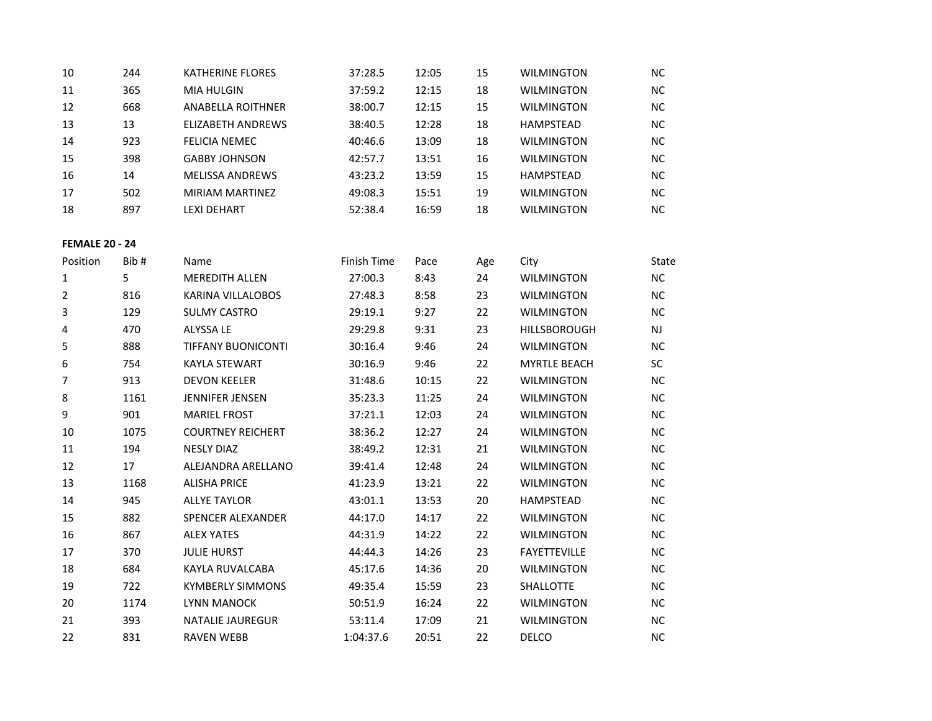| 10 | 244 | <b>KATHERINE FLORES</b> | 37:28.5 | 12:05 | 15 | <b>WILMINGTON</b> | NC.       |
|----|-----|-------------------------|---------|-------|----|-------------------|-----------|
| 11 | 365 | <b>MIA HULGIN</b>       | 37:59.2 | 12:15 | 18 | <b>WILMINGTON</b> | NC.       |
| 12 | 668 | ANABELLA ROITHNER       | 38:00.7 | 12:15 | 15 | <b>WILMINGTON</b> | NC.       |
| 13 | 13  | ELIZABETH ANDREWS       | 38:40.5 | 12:28 | 18 | HAMPSTEAD         | NC.       |
| 14 | 923 | FELICIA NEMEC           | 40:46.6 | 13:09 | 18 | <b>WILMINGTON</b> | NC.       |
| 15 | 398 | <b>GABBY JOHNSON</b>    | 42:57.7 | 13:51 | 16 | <b>WILMINGTON</b> | <b>NC</b> |
| 16 | 14  | <b>MELISSA ANDREWS</b>  | 43:23.2 | 13:59 | 15 | <b>HAMPSTEAD</b>  | NC.       |
| 17 | 502 | MIRIAM MARTINEZ         | 49:08.3 | 15:51 | 19 | <b>WILMINGTON</b> | NC.       |
| 18 | 897 | LEXI DEHART             | 52:38.4 | 16:59 | 18 | <b>WILMINGTON</b> | <b>NC</b> |

### **FEMALE 20 - 24**

| Position | Bib # | Name                      | <b>Finish Time</b> | Pace  | Age | City                | State     |
|----------|-------|---------------------------|--------------------|-------|-----|---------------------|-----------|
| 1        | 5     | <b>MEREDITH ALLEN</b>     | 27:00.3            | 8:43  | 24  | <b>WILMINGTON</b>   | <b>NC</b> |
| 2        | 816   | <b>KARINA VILLALOBOS</b>  | 27:48.3            | 8:58  | 23  | <b>WILMINGTON</b>   | <b>NC</b> |
| 3        | 129   | <b>SULMY CASTRO</b>       | 29:19.1            | 9:27  | 22  | <b>WILMINGTON</b>   | <b>NC</b> |
| 4        | 470   | <b>ALYSSA LE</b>          | 29:29.8            | 9:31  | 23  | <b>HILLSBOROUGH</b> | <b>NJ</b> |
| 5        | 888   | <b>TIFFANY BUONICONTI</b> | 30:16.4            | 9:46  | 24  | <b>WILMINGTON</b>   | <b>NC</b> |
| 6        | 754   | <b>KAYLA STEWART</b>      | 30:16.9            | 9:46  | 22  | <b>MYRTLE BEACH</b> | <b>SC</b> |
| 7        | 913   | <b>DEVON KEELER</b>       | 31:48.6            | 10:15 | 22  | <b>WILMINGTON</b>   | <b>NC</b> |
| 8        | 1161  | <b>JENNIFER JENSEN</b>    | 35:23.3            | 11:25 | 24  | <b>WILMINGTON</b>   | <b>NC</b> |
| 9        | 901   | <b>MARIEL FROST</b>       | 37:21.1            | 12:03 | 24  | <b>WILMINGTON</b>   | <b>NC</b> |
| 10       | 1075  | <b>COURTNEY REICHERT</b>  | 38:36.2            | 12:27 | 24  | <b>WILMINGTON</b>   | <b>NC</b> |
| 11       | 194   | <b>NESLY DIAZ</b>         | 38:49.2            | 12:31 | 21  | <b>WILMINGTON</b>   | <b>NC</b> |
| 12       | 17    | ALEJANDRA ARELLANO        | 39:41.4            | 12:48 | 24  | <b>WILMINGTON</b>   | <b>NC</b> |
| 13       | 1168  | <b>ALISHA PRICE</b>       | 41:23.9            | 13:21 | 22  | <b>WILMINGTON</b>   | <b>NC</b> |
| 14       | 945   | <b>ALLYE TAYLOR</b>       | 43:01.1            | 13:53 | 20  | <b>HAMPSTEAD</b>    | <b>NC</b> |
| 15       | 882   | <b>SPENCER ALEXANDER</b>  | 44:17.0            | 14:17 | 22  | <b>WILMINGTON</b>   | <b>NC</b> |
| 16       | 867   | <b>ALEX YATES</b>         | 44:31.9            | 14:22 | 22  | <b>WILMINGTON</b>   | <b>NC</b> |
| 17       | 370   | <b>JULIE HURST</b>        | 44:44.3            | 14:26 | 23  | <b>FAYETTEVILLE</b> | <b>NC</b> |
| 18       | 684   | KAYLA RUVALCABA           | 45:17.6            | 14:36 | 20  | <b>WILMINGTON</b>   | <b>NC</b> |
| 19       | 722   | <b>KYMBERLY SIMMONS</b>   | 49:35.4            | 15:59 | 23  | <b>SHALLOTTE</b>    | <b>NC</b> |
| 20       | 1174  | <b>LYNN MANOCK</b>        | 50:51.9            | 16:24 | 22  | <b>WILMINGTON</b>   | <b>NC</b> |
| 21       | 393   | <b>NATALIE JAUREGUR</b>   | 53:11.4            | 17:09 | 21  | <b>WILMINGTON</b>   | <b>NC</b> |
| 22       | 831   | <b>RAVEN WEBB</b>         | 1:04:37.6          | 20:51 | 22  | <b>DELCO</b>        | <b>NC</b> |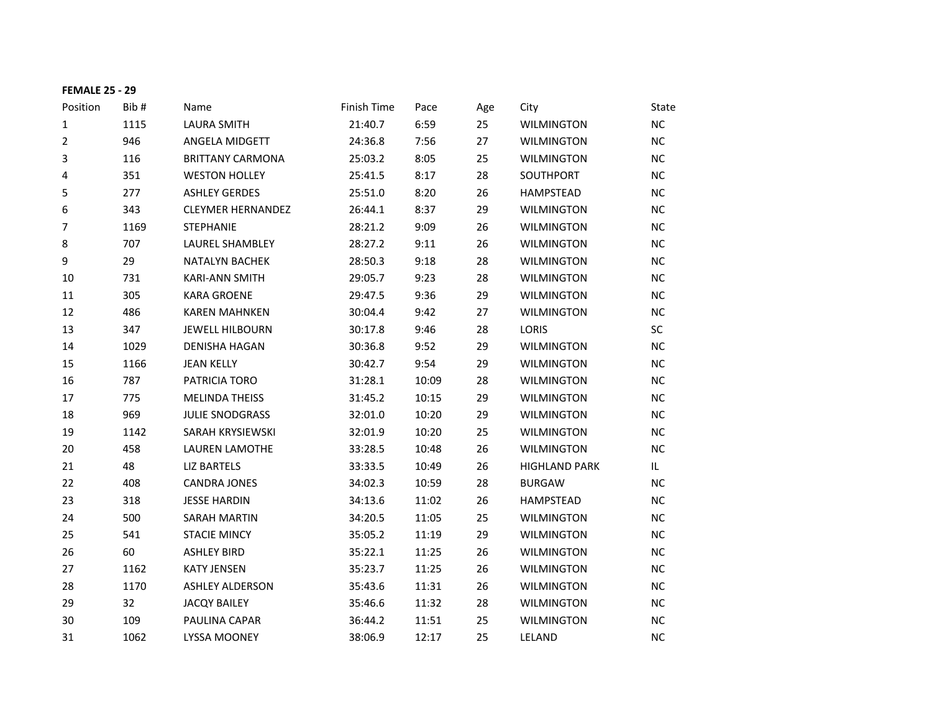| <b>FEMALE 25 - 29</b> |      |                          |             |       |     |                      |           |
|-----------------------|------|--------------------------|-------------|-------|-----|----------------------|-----------|
| Position              | Bib# | Name                     | Finish Time | Pace  | Age | City                 | State     |
| 1                     | 1115 | <b>LAURA SMITH</b>       | 21:40.7     | 6:59  | 25  | <b>WILMINGTON</b>    | NC        |
| $\overline{2}$        | 946  | ANGELA MIDGETT           | 24:36.8     | 7:56  | 27  | <b>WILMINGTON</b>    | <b>NC</b> |
| 3                     | 116  | <b>BRITTANY CARMONA</b>  | 25:03.2     | 8:05  | 25  | <b>WILMINGTON</b>    | <b>NC</b> |
| 4                     | 351  | <b>WESTON HOLLEY</b>     | 25:41.5     | 8:17  | 28  | SOUTHPORT            | <b>NC</b> |
| 5                     | 277  | <b>ASHLEY GERDES</b>     | 25:51.0     | 8:20  | 26  | <b>HAMPSTEAD</b>     | <b>NC</b> |
| 6                     | 343  | <b>CLEYMER HERNANDEZ</b> | 26:44.1     | 8:37  | 29  | <b>WILMINGTON</b>    | <b>NC</b> |
| 7                     | 1169 | <b>STEPHANIE</b>         | 28:21.2     | 9:09  | 26  | <b>WILMINGTON</b>    | NC        |
| 8                     | 707  | LAUREL SHAMBLEY          | 28:27.2     | 9:11  | 26  | <b>WILMINGTON</b>    | <b>NC</b> |
| $\boldsymbol{9}$      | 29   | <b>NATALYN BACHEK</b>    | 28:50.3     | 9:18  | 28  | <b>WILMINGTON</b>    | <b>NC</b> |
| 10                    | 731  | <b>KARI-ANN SMITH</b>    | 29:05.7     | 9:23  | 28  | <b>WILMINGTON</b>    | <b>NC</b> |
| 11                    | 305  | <b>KARA GROENE</b>       | 29:47.5     | 9:36  | 29  | <b>WILMINGTON</b>    | <b>NC</b> |
| 12                    | 486  | <b>KAREN MAHNKEN</b>     | 30:04.4     | 9:42  | 27  | <b>WILMINGTON</b>    | <b>NC</b> |
| 13                    | 347  | <b>JEWELL HILBOURN</b>   | 30:17.8     | 9:46  | 28  | LORIS                | SC        |
| 14                    | 1029 | <b>DENISHA HAGAN</b>     | 30:36.8     | 9:52  | 29  | <b>WILMINGTON</b>    | <b>NC</b> |
| 15                    | 1166 | <b>JEAN KELLY</b>        | 30:42.7     | 9:54  | 29  | <b>WILMINGTON</b>    | <b>NC</b> |
| 16                    | 787  | PATRICIA TORO            | 31:28.1     | 10:09 | 28  | <b>WILMINGTON</b>    | <b>NC</b> |
| 17                    | 775  | <b>MELINDA THEISS</b>    | 31:45.2     | 10:15 | 29  | <b>WILMINGTON</b>    | <b>NC</b> |
| 18                    | 969  | <b>JULIE SNODGRASS</b>   | 32:01.0     | 10:20 | 29  | <b>WILMINGTON</b>    | NC        |
| 19                    | 1142 | SARAH KRYSIEWSKI         | 32:01.9     | 10:20 | 25  | <b>WILMINGTON</b>    | <b>NC</b> |
| 20                    | 458  | LAUREN LAMOTHE           | 33:28.5     | 10:48 | 26  | <b>WILMINGTON</b>    | <b>NC</b> |
| 21                    | 48   | <b>LIZ BARTELS</b>       | 33:33.5     | 10:49 | 26  | <b>HIGHLAND PARK</b> | IL.       |
| 22                    | 408  | <b>CANDRA JONES</b>      | 34:02.3     | 10:59 | 28  | <b>BURGAW</b>        | NС        |
| 23                    | 318  | <b>JESSE HARDIN</b>      | 34:13.6     | 11:02 | 26  | <b>HAMPSTEAD</b>     | <b>NC</b> |
| 24                    | 500  | <b>SARAH MARTIN</b>      | 34:20.5     | 11:05 | 25  | <b>WILMINGTON</b>    | <b>NC</b> |
| 25                    | 541  | <b>STACIE MINCY</b>      | 35:05.2     | 11:19 | 29  | <b>WILMINGTON</b>    | <b>NC</b> |
| 26                    | 60   | <b>ASHLEY BIRD</b>       | 35:22.1     | 11:25 | 26  | <b>WILMINGTON</b>    | <b>NC</b> |
| 27                    | 1162 | <b>KATY JENSEN</b>       | 35:23.7     | 11:25 | 26  | <b>WILMINGTON</b>    | <b>NC</b> |
| 28                    | 1170 | <b>ASHLEY ALDERSON</b>   | 35:43.6     | 11:31 | 26  | <b>WILMINGTON</b>    | <b>NC</b> |
| 29                    | 32   | <b>JACQY BAILEY</b>      | 35:46.6     | 11:32 | 28  | <b>WILMINGTON</b>    | <b>NC</b> |
| 30                    | 109  | PAULINA CAPAR            | 36:44.2     | 11:51 | 25  | <b>WILMINGTON</b>    | <b>NC</b> |
| 31                    | 1062 | <b>LYSSA MOONEY</b>      | 38:06.9     | 12:17 | 25  | <b>LELAND</b>        | <b>NC</b> |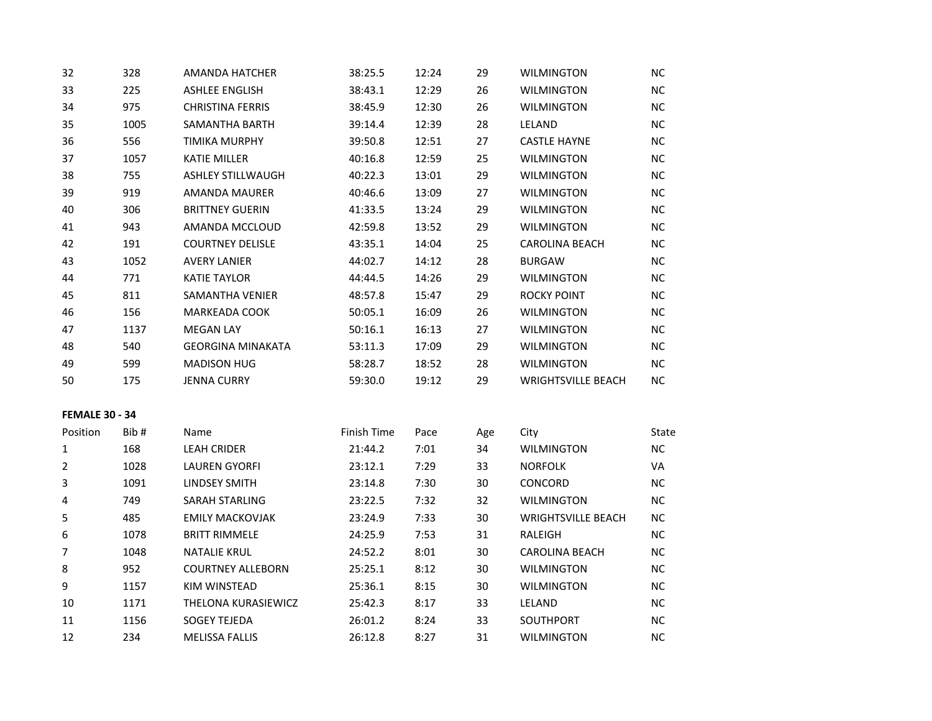| 32                    | 328  | AMANDA HATCHER           | 38:25.5     | 12:24 | 29  | <b>WILMINGTON</b>         | NC.       |
|-----------------------|------|--------------------------|-------------|-------|-----|---------------------------|-----------|
| 33                    | 225  | <b>ASHLEE ENGLISH</b>    | 38:43.1     | 12:29 | 26  | <b>WILMINGTON</b>         | NC        |
| 34                    | 975  | <b>CHRISTINA FERRIS</b>  | 38:45.9     | 12:30 | 26  | <b>WILMINGTON</b>         | NC.       |
| 35                    | 1005 | SAMANTHA BARTH           | 39:14.4     | 12:39 | 28  | LELAND                    | NC.       |
| 36                    | 556  | <b>TIMIKA MURPHY</b>     | 39:50.8     | 12:51 | 27  | <b>CASTLE HAYNE</b>       | NC        |
| 37                    | 1057 | <b>KATIE MILLER</b>      | 40:16.8     | 12:59 | 25  | <b>WILMINGTON</b>         | NC.       |
| 38                    | 755  | <b>ASHLEY STILLWAUGH</b> | 40:22.3     | 13:01 | 29  | <b>WILMINGTON</b>         | NC.       |
| 39                    | 919  | AMANDA MAURER            | 40:46.6     | 13:09 | 27  | <b>WILMINGTON</b>         | NC.       |
| 40                    | 306  | <b>BRITTNEY GUERIN</b>   | 41:33.5     | 13:24 | 29  | <b>WILMINGTON</b>         | NC        |
| 41                    | 943  | AMANDA MCCLOUD           | 42:59.8     | 13:52 | 29  | <b>WILMINGTON</b>         | NC        |
| 42                    | 191  | <b>COURTNEY DELISLE</b>  | 43:35.1     | 14:04 | 25  | <b>CAROLINA BEACH</b>     | <b>NC</b> |
| 43                    | 1052 | <b>AVERY LANIER</b>      | 44:02.7     | 14:12 | 28  | <b>BURGAW</b>             | NC.       |
| 44                    | 771  | <b>KATIE TAYLOR</b>      | 44:44.5     | 14:26 | 29  | <b>WILMINGTON</b>         | NC.       |
| 45                    | 811  | <b>SAMANTHA VENIER</b>   | 48:57.8     | 15:47 | 29  | ROCKY POINT               | NC        |
| 46                    | 156  | <b>MARKEADA COOK</b>     | 50:05.1     | 16:09 | 26  | WILMINGTON                | NC.       |
| 47                    | 1137 | <b>MEGAN LAY</b>         | 50:16.1     | 16:13 | 27  | <b>WILMINGTON</b>         | <b>NC</b> |
| 48                    | 540  | <b>GEORGINA MINAKATA</b> | 53:11.3     | 17:09 | 29  | WILMINGTON                | NC        |
| 49                    | 599  | <b>MADISON HUG</b>       | 58:28.7     | 18:52 | 28  | <b>WILMINGTON</b>         | NC        |
| 50                    | 175  | <b>JENNA CURRY</b>       | 59:30.0     | 19:12 | 29  | <b>WRIGHTSVILLE BEACH</b> | NC.       |
| <b>FEMALE 30 - 34</b> |      |                          |             |       |     |                           |           |
| Position              | Bib# | Name                     | Finish Time | Pace  | Age | City                      | State     |
| 1                     | 168  | <b>LEAH CRIDER</b>       | 21:44.2     | 7:01  | 34  | <b>WILMINGTON</b>         | NC.       |
| $\overline{2}$        | 1028 | <b>LAUREN GYORFI</b>     | 23:12.1     | 7:29  | 33  | <b>NORFOLK</b>            | VA        |
| 3                     | 1091 | <b>LINDSEY SMITH</b>     | 23:14.8     | 7:30  | 30  | CONCORD                   | NC        |
| 4                     | 749  | <b>SARAH STARLING</b>    | 23:22.5     | 7:32  | 32  | <b>WILMINGTON</b>         | NC        |
| 5                     | 485  | <b>EMILY MACKOVJAK</b>   | 23:24.9     | 7:33  | 30  | <b>WRIGHTSVILLE BEACH</b> | NC.       |
| 6                     | 1078 | <b>BRITT RIMMELE</b>     | 24:25.9     | 7:53  | 31  | RALEIGH                   | NC.       |
| $\overline{7}$        | 1048 | <b>NATALIE KRUL</b>      | 24:52.2     | 8:01  | 30  | <b>CAROLINA BEACH</b>     | NC.       |
| 8                     | 952  | <b>COURTNEY ALLEBORN</b> | 25:25.1     | 8:12  | 30  | WILMINGTON                | ΝC        |
| 9                     | 1157 | KIM WINSTEAD             | 25:36.1     | 8:15  | 30  | <b>WILMINGTON</b>         | NC.       |
| 10                    | 1171 | THELONA KURASIEWICZ      | 25:42.3     | 8:17  | 33  | LELAND                    | <b>NC</b> |
| $11\,$                | 1156 | <b>SOGEY TEJEDA</b>      | 26:01.2     | 8:24  | 33  | SOUTHPORT                 | NC        |
| 12                    | 234  | <b>MELISSA FALLIS</b>    | 26:12.8     | 8:27  | 31  | <b>WILMINGTON</b>         | <b>NC</b> |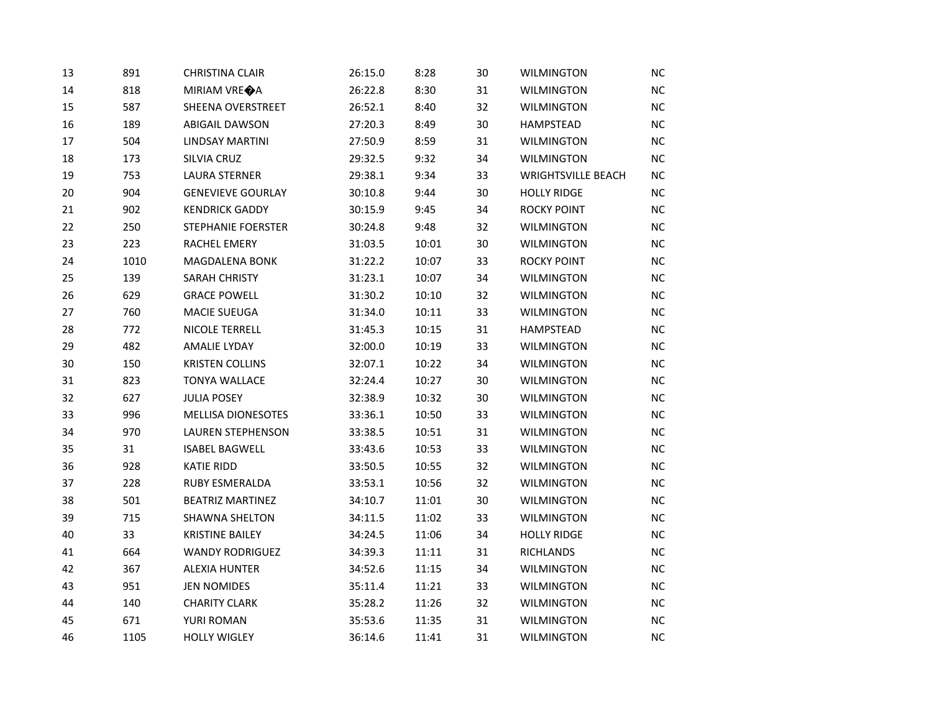| 13 | 891  | <b>CHRISTINA CLAIR</b>    | 26:15.0 | 8:28  | 30 | <b>WILMINGTON</b>         | <b>NC</b> |
|----|------|---------------------------|---------|-------|----|---------------------------|-----------|
| 14 | 818  | MIRIAM VRE <sup>O</sup> A | 26:22.8 | 8:30  | 31 | <b>WILMINGTON</b>         | NC        |
| 15 | 587  | SHEENA OVERSTREET         | 26:52.1 | 8:40  | 32 | <b>WILMINGTON</b>         | NC        |
| 16 | 189  | <b>ABIGAIL DAWSON</b>     | 27:20.3 | 8:49  | 30 | <b>HAMPSTEAD</b>          | NC        |
| 17 | 504  | LINDSAY MARTINI           | 27:50.9 | 8:59  | 31 | <b>WILMINGTON</b>         | NC        |
| 18 | 173  | SILVIA CRUZ               | 29:32.5 | 9:32  | 34 | <b>WILMINGTON</b>         | <b>NC</b> |
| 19 | 753  | <b>LAURA STERNER</b>      | 29:38.1 | 9:34  | 33 | <b>WRIGHTSVILLE BEACH</b> | NC        |
| 20 | 904  | <b>GENEVIEVE GOURLAY</b>  | 30:10.8 | 9:44  | 30 | <b>HOLLY RIDGE</b>        | <b>NC</b> |
| 21 | 902  | <b>KENDRICK GADDY</b>     | 30:15.9 | 9:45  | 34 | <b>ROCKY POINT</b>        | NC        |
| 22 | 250  | <b>STEPHANIE FOERSTER</b> | 30:24.8 | 9:48  | 32 | <b>WILMINGTON</b>         | NC        |
| 23 | 223  | RACHEL EMERY              | 31:03.5 | 10:01 | 30 | <b>WILMINGTON</b>         | NC        |
| 24 | 1010 | <b>MAGDALENA BONK</b>     | 31:22.2 | 10:07 | 33 | <b>ROCKY POINT</b>        | NC        |
| 25 | 139  | SARAH CHRISTY             | 31:23.1 | 10:07 | 34 | <b>WILMINGTON</b>         | <b>NC</b> |
| 26 | 629  | <b>GRACE POWELL</b>       | 31:30.2 | 10:10 | 32 | <b>WILMINGTON</b>         | NC        |
| 27 | 760  | MACIE SUEUGA              | 31:34.0 | 10:11 | 33 | <b>WILMINGTON</b>         | NC        |
| 28 | 772  | NICOLE TERRELL            | 31:45.3 | 10:15 | 31 | <b>HAMPSTEAD</b>          | <b>NC</b> |
| 29 | 482  | <b>AMALIE LYDAY</b>       | 32:00.0 | 10:19 | 33 | <b>WILMINGTON</b>         | NC        |
| 30 | 150  | <b>KRISTEN COLLINS</b>    | 32:07.1 | 10:22 | 34 | <b>WILMINGTON</b>         | NC        |
| 31 | 823  | <b>TONYA WALLACE</b>      | 32:24.4 | 10:27 | 30 | <b>WILMINGTON</b>         | NC        |
| 32 | 627  | <b>JULIA POSEY</b>        | 32:38.9 | 10:32 | 30 | <b>WILMINGTON</b>         | NC        |
| 33 | 996  | <b>MELLISA DIONESOTES</b> | 33:36.1 | 10:50 | 33 | WILMINGTON                | NC        |
| 34 | 970  | <b>LAUREN STEPHENSON</b>  | 33:38.5 | 10:51 | 31 | <b>WILMINGTON</b>         | NC        |
| 35 | 31   | <b>ISABEL BAGWELL</b>     | 33:43.6 | 10:53 | 33 | WILMINGTON                | NC        |
| 36 | 928  | <b>KATIE RIDD</b>         | 33:50.5 | 10:55 | 32 | <b>WILMINGTON</b>         | NC        |
| 37 | 228  | <b>RUBY ESMERALDA</b>     | 33:53.1 | 10:56 | 32 | <b>WILMINGTON</b>         | <b>NC</b> |
| 38 | 501  | <b>BEATRIZ MARTINEZ</b>   | 34:10.7 | 11:01 | 30 | <b>WILMINGTON</b>         | NC        |
| 39 | 715  | <b>SHAWNA SHELTON</b>     | 34:11.5 | 11:02 | 33 | <b>WILMINGTON</b>         | <b>NC</b> |
| 40 | 33   | <b>KRISTINE BAILEY</b>    | 34:24.5 | 11:06 | 34 | <b>HOLLY RIDGE</b>        | NC        |
| 41 | 664  | <b>WANDY RODRIGUEZ</b>    | 34:39.3 | 11:11 | 31 | <b>RICHLANDS</b>          | NC        |
| 42 | 367  | <b>ALEXIA HUNTER</b>      | 34:52.6 | 11:15 | 34 | <b>WILMINGTON</b>         | NC        |
| 43 | 951  | <b>JEN NOMIDES</b>        | 35:11.4 | 11:21 | 33 | <b>WILMINGTON</b>         | NC        |
| 44 | 140  | <b>CHARITY CLARK</b>      | 35:28.2 | 11:26 | 32 | <b>WILMINGTON</b>         | NC        |
| 45 | 671  | YURI ROMAN                | 35:53.6 | 11:35 | 31 | <b>WILMINGTON</b>         | NC        |
| 46 | 1105 | <b>HOLLY WIGLEY</b>       | 36:14.6 | 11:41 | 31 | <b>WILMINGTON</b>         | NC        |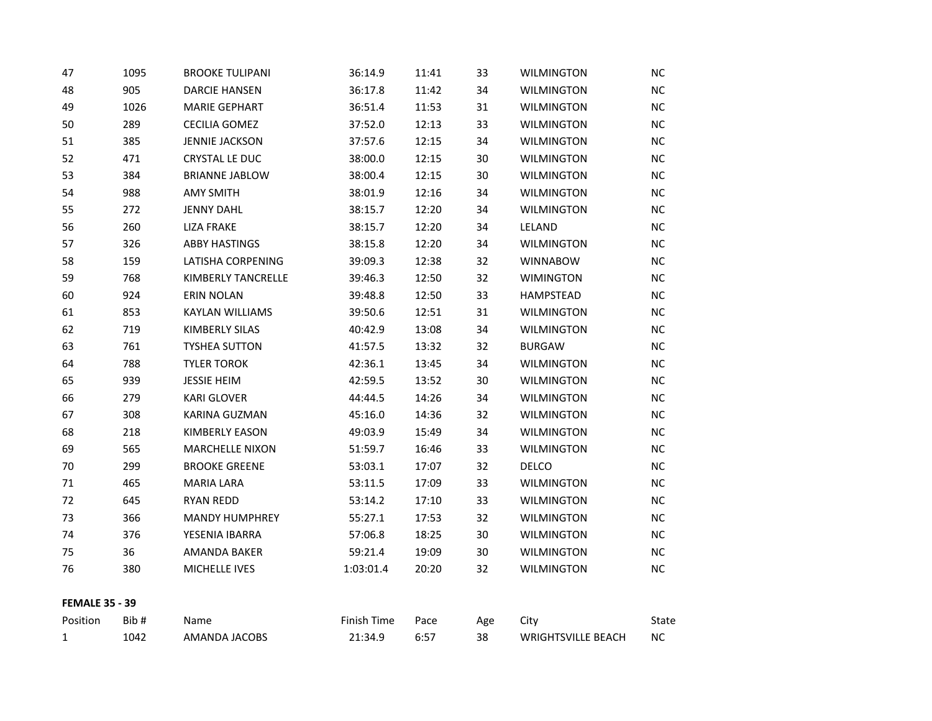| 47                    | 1095 | <b>BROOKE TULIPANI</b> | 36:14.9     | 11:41 | 33  | <b>WILMINGTON</b>         | ΝC        |
|-----------------------|------|------------------------|-------------|-------|-----|---------------------------|-----------|
| 48                    | 905  | <b>DARCIE HANSEN</b>   | 36:17.8     | 11:42 | 34  | <b>WILMINGTON</b>         | NC.       |
| 49                    | 1026 | <b>MARIE GEPHART</b>   | 36:51.4     | 11:53 | 31  | <b>WILMINGTON</b>         | <b>NC</b> |
| 50                    | 289  | <b>CECILIA GOMEZ</b>   | 37:52.0     | 12:13 | 33  | <b>WILMINGTON</b>         | NC        |
| 51                    | 385  | <b>JENNIE JACKSON</b>  | 37:57.6     | 12:15 | 34  | <b>WILMINGTON</b>         | NC        |
| 52                    | 471  | CRYSTAL LE DUC         | 38:00.0     | 12:15 | 30  | <b>WILMINGTON</b>         | <b>NC</b> |
| 53                    | 384  | <b>BRIANNE JABLOW</b>  | 38:00.4     | 12:15 | 30  | <b>WILMINGTON</b>         | NC        |
| 54                    | 988  | <b>AMY SMITH</b>       | 38:01.9     | 12:16 | 34  | <b>WILMINGTON</b>         | NC        |
| 55                    | 272  | <b>JENNY DAHL</b>      | 38:15.7     | 12:20 | 34  | <b>WILMINGTON</b>         | <b>NC</b> |
| 56                    | 260  | <b>LIZA FRAKE</b>      | 38:15.7     | 12:20 | 34  | LELAND                    | NC        |
| 57                    | 326  | <b>ABBY HASTINGS</b>   | 38:15.8     | 12:20 | 34  | <b>WILMINGTON</b>         | <b>NC</b> |
| 58                    | 159  | LATISHA CORPENING      | 39:09.3     | 12:38 | 32  | <b>WINNABOW</b>           | <b>NC</b> |
| 59                    | 768  | KIMBERLY TANCRELLE     | 39:46.3     | 12:50 | 32  | <b>WIMINGTON</b>          | NC        |
| 60                    | 924  | <b>ERIN NOLAN</b>      | 39:48.8     | 12:50 | 33  | HAMPSTEAD                 | NC.       |
| 61                    | 853  | <b>KAYLAN WILLIAMS</b> | 39:50.6     | 12:51 | 31  | <b>WILMINGTON</b>         | <b>NC</b> |
| 62                    | 719  | KIMBERLY SILAS         | 40:42.9     | 13:08 | 34  | <b>WILMINGTON</b>         | NC        |
| 63                    | 761  | <b>TYSHEA SUTTON</b>   | 41:57.5     | 13:32 | 32  | <b>BURGAW</b>             | <b>NC</b> |
| 64                    | 788  | <b>TYLER TOROK</b>     | 42:36.1     | 13:45 | 34  | <b>WILMINGTON</b>         | <b>NC</b> |
| 65                    | 939  | <b>JESSIE HEIM</b>     | 42:59.5     | 13:52 | 30  | <b>WILMINGTON</b>         | NC        |
| 66                    | 279  | <b>KARI GLOVER</b>     | 44:44.5     | 14:26 | 34  | <b>WILMINGTON</b>         | NC        |
| 67                    | 308  | KARINA GUZMAN          | 45:16.0     | 14:36 | 32  | <b>WILMINGTON</b>         | NC        |
| 68                    | 218  | <b>KIMBERLY EASON</b>  | 49:03.9     | 15:49 | 34  | <b>WILMINGTON</b>         | NC        |
| 69                    | 565  | <b>MARCHELLE NIXON</b> | 51:59.7     | 16:46 | 33  | <b>WILMINGTON</b>         | NC.       |
| 70                    | 299  | <b>BROOKE GREENE</b>   | 53:03.1     | 17:07 | 32  | <b>DELCO</b>              | NC        |
| 71                    | 465  | <b>MARIA LARA</b>      | 53:11.5     | 17:09 | 33  | <b>WILMINGTON</b>         | NC        |
| 72                    | 645  | <b>RYAN REDD</b>       | 53:14.2     | 17:10 | 33  | <b>WILMINGTON</b>         | <b>NC</b> |
| 73                    | 366  | <b>MANDY HUMPHREY</b>  | 55:27.1     | 17:53 | 32  | <b>WILMINGTON</b>         | NC.       |
| 74                    | 376  | YESENIA IBARRA         | 57:06.8     | 18:25 | 30  | <b>WILMINGTON</b>         | NC.       |
| 75                    | 36   | AMANDA BAKER           | 59:21.4     | 19:09 | 30  | <b>WILMINGTON</b>         | <b>NC</b> |
| 76                    | 380  | MICHELLE IVES          | 1:03:01.4   | 20:20 | 32  | <b>WILMINGTON</b>         | NC        |
| <b>FEMALE 35 - 39</b> |      |                        |             |       |     |                           |           |
| Position              | Bib# | Name                   | Finish Time | Pace  | Age | City                      | State     |
| 1                     | 1042 | AMANDA JACOBS          | 21:34.9     | 6:57  | 38  | <b>WRIGHTSVILLE BEACH</b> | NC        |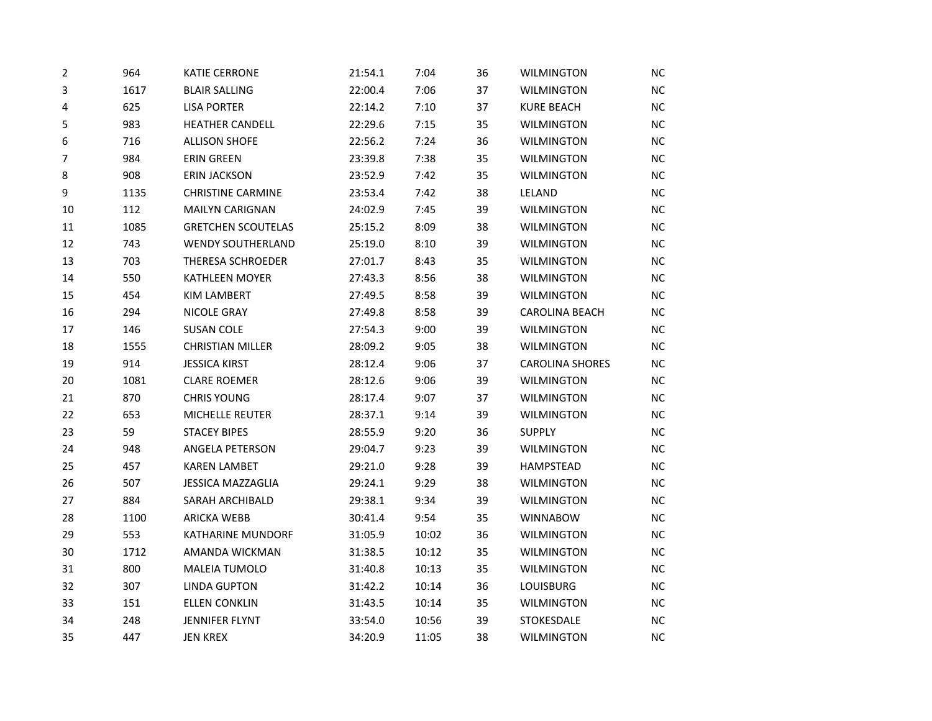| 2              | 964  | <b>KATIE CERRONE</b>      | 21:54.1 | 7:04  | 36 | <b>WILMINGTON</b>      | <b>NC</b> |
|----------------|------|---------------------------|---------|-------|----|------------------------|-----------|
| 3              | 1617 | <b>BLAIR SALLING</b>      | 22:00.4 | 7:06  | 37 | <b>WILMINGTON</b>      | NC        |
| 4              | 625  | <b>LISA PORTER</b>        | 22:14.2 | 7:10  | 37 | <b>KURE BEACH</b>      | NC        |
| 5              | 983  | <b>HEATHER CANDELL</b>    | 22:29.6 | 7:15  | 35 | <b>WILMINGTON</b>      | NC        |
| 6              | 716  | <b>ALLISON SHOFE</b>      | 22:56.2 | 7:24  | 36 | <b>WILMINGTON</b>      | <b>NC</b> |
| $\overline{7}$ | 984  | <b>ERIN GREEN</b>         | 23:39.8 | 7:38  | 35 | <b>WILMINGTON</b>      | <b>NC</b> |
| 8              | 908  | <b>ERIN JACKSON</b>       | 23:52.9 | 7:42  | 35 | <b>WILMINGTON</b>      | NC        |
| 9              | 1135 | <b>CHRISTINE CARMINE</b>  | 23:53.4 | 7:42  | 38 | LELAND                 | <b>NC</b> |
| $10\,$         | 112  | <b>MAILYN CARIGNAN</b>    | 24:02.9 | 7:45  | 39 | WILMINGTON             | NC        |
| 11             | 1085 | <b>GRETCHEN SCOUTELAS</b> | 25:15.2 | 8:09  | 38 | <b>WILMINGTON</b>      | NC        |
| 12             | 743  | <b>WENDY SOUTHERLAND</b>  | 25:19.0 | 8:10  | 39 | <b>WILMINGTON</b>      | NC        |
| 13             | 703  | THERESA SCHROEDER         | 27:01.7 | 8:43  | 35 | <b>WILMINGTON</b>      | NC        |
| 14             | 550  | <b>KATHLEEN MOYER</b>     | 27:43.3 | 8:56  | 38 | <b>WILMINGTON</b>      | <b>NC</b> |
| 15             | 454  | <b>KIM LAMBERT</b>        | 27:49.5 | 8:58  | 39 | <b>WILMINGTON</b>      | NC        |
| 16             | 294  | NICOLE GRAY               | 27:49.8 | 8:58  | 39 | <b>CAROLINA BEACH</b>  | NC        |
| 17             | 146  | <b>SUSAN COLE</b>         | 27:54.3 | 9:00  | 39 | <b>WILMINGTON</b>      | <b>NC</b> |
| 18             | 1555 | <b>CHRISTIAN MILLER</b>   | 28:09.2 | 9:05  | 38 | <b>WILMINGTON</b>      | NC        |
| 19             | 914  | <b>JESSICA KIRST</b>      | 28:12.4 | 9:06  | 37 | <b>CAROLINA SHORES</b> | NC        |
| 20             | 1081 | <b>CLARE ROEMER</b>       | 28:12.6 | 9:06  | 39 | <b>WILMINGTON</b>      | <b>NC</b> |
| 21             | 870  | <b>CHRIS YOUNG</b>        | 28:17.4 | 9:07  | 37 | <b>WILMINGTON</b>      | <b>NC</b> |
| 22             | 653  | MICHELLE REUTER           | 28:37.1 | 9:14  | 39 | <b>WILMINGTON</b>      | NC        |
| 23             | 59   | <b>STACEY BIPES</b>       | 28:55.9 | 9:20  | 36 | <b>SUPPLY</b>          | NC        |
| 24             | 948  | ANGELA PETERSON           | 29:04.7 | 9:23  | 39 | <b>WILMINGTON</b>      | NC        |
| 25             | 457  | <b>KAREN LAMBET</b>       | 29:21.0 | 9:28  | 39 | HAMPSTEAD              | NC        |
| 26             | 507  | <b>JESSICA MAZZAGLIA</b>  | 29:24.1 | 9:29  | 38 | <b>WILMINGTON</b>      | <b>NC</b> |
| 27             | 884  | SARAH ARCHIBALD           | 29:38.1 | 9:34  | 39 | <b>WILMINGTON</b>      | NC        |
| 28             | 1100 | <b>ARICKA WEBB</b>        | 30:41.4 | 9:54  | 35 | <b>WINNABOW</b>        | <b>NC</b> |
| 29             | 553  | KATHARINE MUNDORF         | 31:05.9 | 10:02 | 36 | <b>WILMINGTON</b>      | NC        |
| 30             | 1712 | AMANDA WICKMAN            | 31:38.5 | 10:12 | 35 | <b>WILMINGTON</b>      | NC        |
| 31             | 800  | MALEIA TUMOLO             | 31:40.8 | 10:13 | 35 | <b>WILMINGTON</b>      | NC        |
| 32             | 307  | <b>LINDA GUPTON</b>       | 31:42.2 | 10:14 | 36 | <b>LOUISBURG</b>       | NC        |
| 33             | 151  | <b>ELLEN CONKLIN</b>      | 31:43.5 | 10:14 | 35 | WILMINGTON             | NC        |
| 34             | 248  | JENNIFER FLYNT            | 33:54.0 | 10:56 | 39 | STOKESDALE             | NC        |
| 35             | 447  | <b>JEN KREX</b>           | 34:20.9 | 11:05 | 38 | <b>WILMINGTON</b>      | NC        |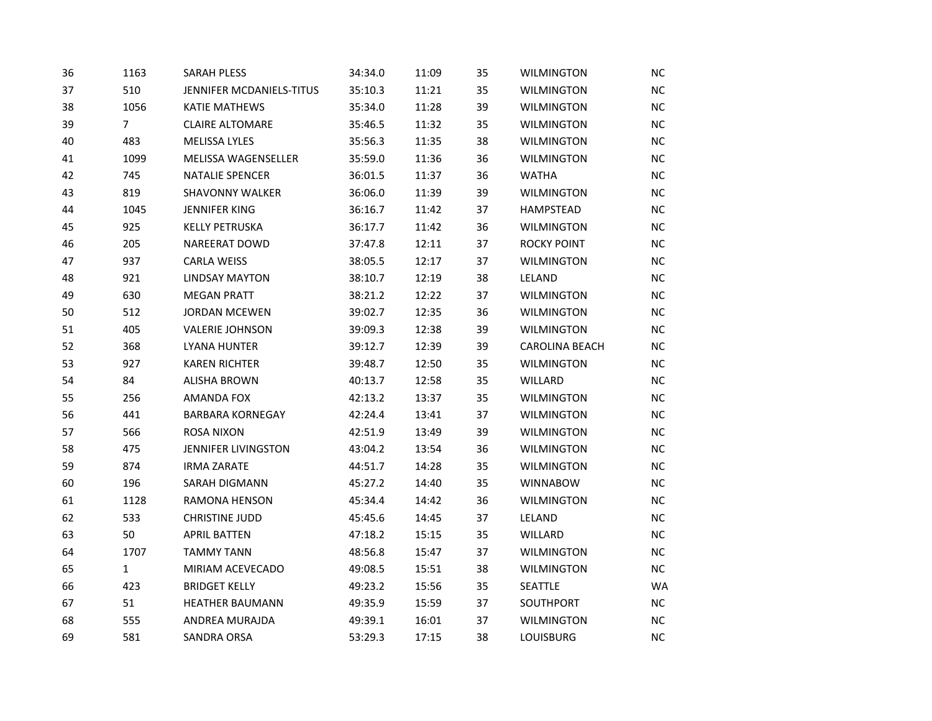| 36 | 1163           | <b>SARAH PLESS</b>         | 34:34.0 | 11:09 | 35 | <b>WILMINGTON</b>     | <b>NC</b> |
|----|----------------|----------------------------|---------|-------|----|-----------------------|-----------|
| 37 | 510            | JENNIFER MCDANIELS-TITUS   | 35:10.3 | 11:21 | 35 | <b>WILMINGTON</b>     | $\sf NC$  |
| 38 | 1056           | <b>KATIE MATHEWS</b>       | 35:34.0 | 11:28 | 39 | <b>WILMINGTON</b>     | NC        |
| 39 | $\overline{7}$ | <b>CLAIRE ALTOMARE</b>     | 35:46.5 | 11:32 | 35 | <b>WILMINGTON</b>     | NC        |
| 40 | 483            | MELISSA LYLES              | 35:56.3 | 11:35 | 38 | <b>WILMINGTON</b>     | NC        |
| 41 | 1099           | <b>MELISSA WAGENSELLER</b> | 35:59.0 | 11:36 | 36 | <b>WILMINGTON</b>     | <b>NC</b> |
| 42 | 745            | <b>NATALIE SPENCER</b>     | 36:01.5 | 11:37 | 36 | <b>WATHA</b>          | <b>NC</b> |
| 43 | 819            | <b>SHAVONNY WALKER</b>     | 36:06.0 | 11:39 | 39 | <b>WILMINGTON</b>     | NC        |
| 44 | 1045           | <b>JENNIFER KING</b>       | 36:16.7 | 11:42 | 37 | <b>HAMPSTEAD</b>      | NC        |
| 45 | 925            | <b>KELLY PETRUSKA</b>      | 36:17.7 | 11:42 | 36 | <b>WILMINGTON</b>     | NC        |
| 46 | 205            | NAREERAT DOWD              | 37:47.8 | 12:11 | 37 | <b>ROCKY POINT</b>    | NC        |
| 47 | 937            | <b>CARLA WEISS</b>         | 38:05.5 | 12:17 | 37 | <b>WILMINGTON</b>     | NC        |
| 48 | 921            | <b>LINDSAY MAYTON</b>      | 38:10.7 | 12:19 | 38 | LELAND                | <b>NC</b> |
| 49 | 630            | <b>MEGAN PRATT</b>         | 38:21.2 | 12:22 | 37 | <b>WILMINGTON</b>     | NC        |
| 50 | 512            | <b>JORDAN MCEWEN</b>       | 39:02.7 | 12:35 | 36 | <b>WILMINGTON</b>     | <b>NC</b> |
| 51 | 405            | <b>VALERIE JOHNSON</b>     | 39:09.3 | 12:38 | 39 | <b>WILMINGTON</b>     | NC        |
| 52 | 368            | <b>LYANA HUNTER</b>        | 39:12.7 | 12:39 | 39 | <b>CAROLINA BEACH</b> | NC        |
| 53 | 927            | <b>KAREN RICHTER</b>       | 39:48.7 | 12:50 | 35 | <b>WILMINGTON</b>     | <b>NC</b> |
| 54 | 84             | <b>ALISHA BROWN</b>        | 40:13.7 | 12:58 | 35 | WILLARD               | NC        |
| 55 | 256            | AMANDA FOX                 | 42:13.2 | 13:37 | 35 | <b>WILMINGTON</b>     | <b>NC</b> |
| 56 | 441            | <b>BARBARA KORNEGAY</b>    | 42:24.4 | 13:41 | 37 | <b>WILMINGTON</b>     | NC        |
| 57 | 566            | <b>ROSA NIXON</b>          | 42:51.9 | 13:49 | 39 | <b>WILMINGTON</b>     | NC        |
| 58 | 475            | JENNIFER LIVINGSTON        | 43:04.2 | 13:54 | 36 | <b>WILMINGTON</b>     | <b>NC</b> |
| 59 | 874            | <b>IRMA ZARATE</b>         | 44:51.7 | 14:28 | 35 | <b>WILMINGTON</b>     | NC        |
| 60 | 196            | SARAH DIGMANN              | 45:27.2 | 14:40 | 35 | <b>WINNABOW</b>       | ΝC        |
| 61 | 1128           | RAMONA HENSON              | 45:34.4 | 14:42 | 36 | <b>WILMINGTON</b>     | NC        |
| 62 | 533            | <b>CHRISTINE JUDD</b>      | 45:45.6 | 14:45 | 37 | LELAND                | NC        |
| 63 | 50             | <b>APRIL BATTEN</b>        | 47:18.2 | 15:15 | 35 | WILLARD               | NC        |
| 64 | 1707           | <b>TAMMY TANN</b>          | 48:56.8 | 15:47 | 37 | <b>WILMINGTON</b>     | NC        |
| 65 | $\mathbf{1}$   | MIRIAM ACEVECADO           | 49:08.5 | 15:51 | 38 | <b>WILMINGTON</b>     | NC        |
| 66 | 423            | <b>BRIDGET KELLY</b>       | 49:23.2 | 15:56 | 35 | SEATTLE               | <b>WA</b> |
| 67 | 51             | <b>HEATHER BAUMANN</b>     | 49:35.9 | 15:59 | 37 | SOUTHPORT             | <b>NC</b> |
| 68 | 555            | ANDREA MURAJDA             | 49:39.1 | 16:01 | 37 | <b>WILMINGTON</b>     | NC        |
| 69 | 581            | <b>SANDRA ORSA</b>         | 53:29.3 | 17:15 | 38 | <b>LOUISBURG</b>      | NC        |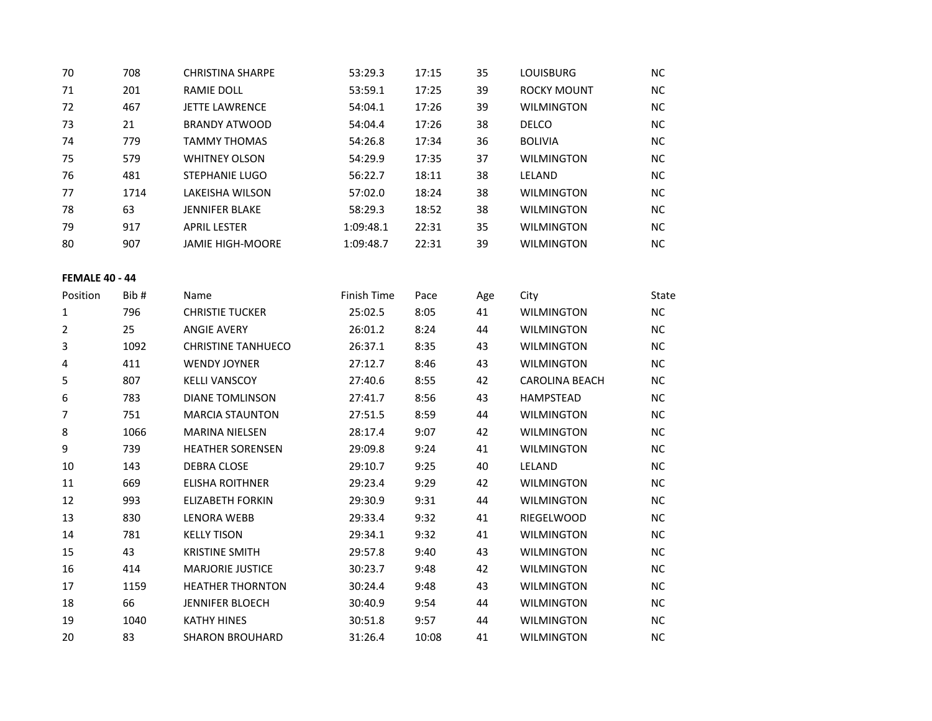| 70                    | 708  | <b>CHRISTINA SHARPE</b>   | 53:29.3     | 17:15 | 35  | LOUISBURG             | <b>NC</b> |
|-----------------------|------|---------------------------|-------------|-------|-----|-----------------------|-----------|
| 71                    | 201  | RAMIE DOLL                | 53:59.1     | 17:25 | 39  | <b>ROCKY MOUNT</b>    | <b>NC</b> |
| 72                    | 467  | <b>JETTE LAWRENCE</b>     | 54:04.1     | 17:26 | 39  | <b>WILMINGTON</b>     | NC        |
| 73                    | 21   | <b>BRANDY ATWOOD</b>      | 54:04.4     | 17:26 | 38  | <b>DELCO</b>          | NC        |
| 74                    | 779  | <b>TAMMY THOMAS</b>       | 54:26.8     | 17:34 | 36  | <b>BOLIVIA</b>        | $NC$      |
| 75                    | 579  | <b>WHITNEY OLSON</b>      | 54:29.9     | 17:35 | 37  | <b>WILMINGTON</b>     | $NC$      |
| 76                    | 481  | <b>STEPHANIE LUGO</b>     | 56:22.7     | 18:11 | 38  | <b>LELAND</b>         | <b>NC</b> |
| 77                    | 1714 | LAKEISHA WILSON           | 57:02.0     | 18:24 | 38  | <b>WILMINGTON</b>     | NC        |
| 78                    | 63   | <b>JENNIFER BLAKE</b>     | 58:29.3     | 18:52 | 38  | <b>WILMINGTON</b>     | <b>NC</b> |
| 79                    | 917  | <b>APRIL LESTER</b>       | 1:09:48.1   | 22:31 | 35  | <b>WILMINGTON</b>     | $NC$      |
| 80                    | 907  | <b>JAMIE HIGH-MOORE</b>   | 1:09:48.7   | 22:31 | 39  | <b>WILMINGTON</b>     | <b>NC</b> |
| <b>FEMALE 40 - 44</b> |      |                           |             |       |     |                       |           |
| Position              | Bib# | Name                      | Finish Time | Pace  | Age | City                  | State     |
| $\mathbf{1}$          | 796  | <b>CHRISTIE TUCKER</b>    | 25:02.5     | 8:05  | 41  | <b>WILMINGTON</b>     | $NC$      |
| $\overline{2}$        | 25   | <b>ANGIE AVERY</b>        | 26:01.2     | 8:24  | 44  | <b>WILMINGTON</b>     | $NC$      |
| 3                     | 1092 | <b>CHRISTINE TANHUECO</b> | 26:37.1     | 8:35  | 43  | <b>WILMINGTON</b>     | <b>NC</b> |
| 4                     | 411  | <b>WENDY JOYNER</b>       | 27:12.7     | 8:46  | 43  | <b>WILMINGTON</b>     | <b>NC</b> |
| 5                     | 807  | <b>KELLI VANSCOY</b>      | 27:40.6     | 8:55  | 42  | <b>CAROLINA BEACH</b> | <b>NC</b> |
| 6                     | 783  | <b>DIANE TOMLINSON</b>    | 27:41.7     | 8:56  | 43  | HAMPSTEAD             | NC        |
| $\overline{7}$        | 751  | <b>MARCIA STAUNTON</b>    | 27:51.5     | 8:59  | 44  | <b>WILMINGTON</b>     | $NC$      |
| 8                     | 1066 | <b>MARINA NIELSEN</b>     | 28:17.4     | 9:07  | 42  | <b>WILMINGTON</b>     | NC        |
| 9                     | 739  | <b>HEATHER SORENSEN</b>   | 29:09.8     | 9:24  | 41  | <b>WILMINGTON</b>     | <b>NC</b> |
| 10                    | 143  | DEBRA CLOSE               | 29:10.7     | 9:25  | 40  | LELAND                | <b>NC</b> |
| 11                    | 669  | <b>ELISHA ROITHNER</b>    | 29:23.4     | 9:29  | 42  | <b>WILMINGTON</b>     | $NC$      |
| 12                    | 993  | <b>ELIZABETH FORKIN</b>   | 29:30.9     | 9:31  | 44  | <b>WILMINGTON</b>     | <b>NC</b> |
| 13                    | 830  | <b>LENORA WEBB</b>        | 29:33.4     | 9:32  | 41  | RIEGELWOOD            | <b>NC</b> |
| 14                    | 781  | <b>KELLY TISON</b>        | 29:34.1     | 9:32  | 41  | <b>WILMINGTON</b>     | <b>NC</b> |
| 15                    | 43   | <b>KRISTINE SMITH</b>     | 29:57.8     | 9:40  | 43  | <b>WILMINGTON</b>     | NC        |
| 16                    | 414  | <b>MARJORIE JUSTICE</b>   | 30:23.7     | 9:48  | 42  | <b>WILMINGTON</b>     | <b>NC</b> |
| 17                    | 1159 | <b>HEATHER THORNTON</b>   | 30:24.4     | 9:48  | 43  | <b>WILMINGTON</b>     | <b>NC</b> |
| 18                    | 66   | <b>JENNIFER BLOECH</b>    | 30:40.9     | 9:54  | 44  | <b>WILMINGTON</b>     | $NC$      |
| 19                    | 1040 | <b>KATHY HINES</b>        | 30:51.8     | 9:57  | 44  | <b>WILMINGTON</b>     | $NC$      |
| 20                    | 83   | <b>SHARON BROUHARD</b>    | 31:26.4     | 10:08 | 41  | <b>WILMINGTON</b>     | <b>NC</b> |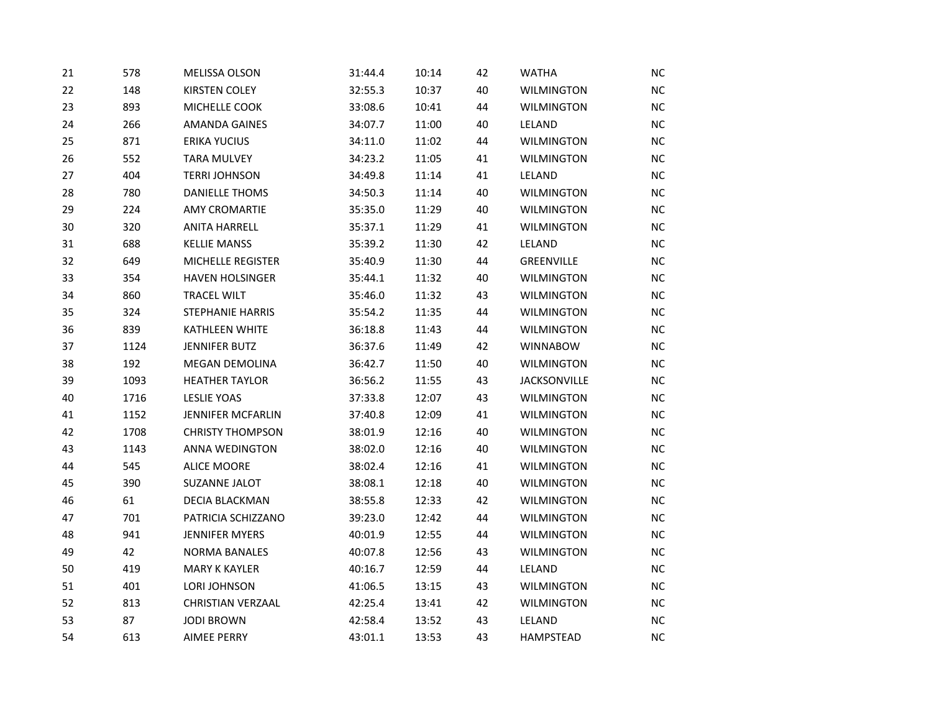| 21 | 578  | MELISSA OLSON            | 31:44.4 | 10:14 | 42 | <b>WATHA</b>        | NC.       |
|----|------|--------------------------|---------|-------|----|---------------------|-----------|
| 22 | 148  | <b>KIRSTEN COLEY</b>     | 32:55.3 | 10:37 | 40 | <b>WILMINGTON</b>   | <b>NC</b> |
| 23 | 893  | MICHELLE COOK            | 33:08.6 | 10:41 | 44 | <b>WILMINGTON</b>   | NC        |
| 24 | 266  | <b>AMANDA GAINES</b>     | 34:07.7 | 11:00 | 40 | LELAND              | NC        |
| 25 | 871  | <b>ERIKA YUCIUS</b>      | 34:11.0 | 11:02 | 44 | <b>WILMINGTON</b>   | NC.       |
| 26 | 552  | <b>TARA MULVEY</b>       | 34:23.2 | 11:05 | 41 | <b>WILMINGTON</b>   | <b>NC</b> |
| 27 | 404  | <b>TERRI JOHNSON</b>     | 34:49.8 | 11:14 | 41 | LELAND              | NC        |
| 28 | 780  | <b>DANIELLE THOMS</b>    | 34:50.3 | 11:14 | 40 | <b>WILMINGTON</b>   | NC        |
| 29 | 224  | <b>AMY CROMARTIE</b>     | 35:35.0 | 11:29 | 40 | WILMINGTON          | NC        |
| 30 | 320  | <b>ANITA HARRELL</b>     | 35:37.1 | 11:29 | 41 | <b>WILMINGTON</b>   | NC        |
| 31 | 688  | <b>KELLIE MANSS</b>      | 35:39.2 | 11:30 | 42 | LELAND              | $NC$      |
| 32 | 649  | <b>MICHELLE REGISTER</b> | 35:40.9 | 11:30 | 44 | GREENVILLE          | NC        |
| 33 | 354  | <b>HAVEN HOLSINGER</b>   | 35:44.1 | 11:32 | 40 | <b>WILMINGTON</b>   | <b>NC</b> |
| 34 | 860  | <b>TRACEL WILT</b>       | 35:46.0 | 11:32 | 43 | <b>WILMINGTON</b>   | $NC$      |
| 35 | 324  | <b>STEPHANIE HARRIS</b>  | 35:54.2 | 11:35 | 44 | <b>WILMINGTON</b>   | NC        |
| 36 | 839  | <b>KATHLEEN WHITE</b>    | 36:18.8 | 11:43 | 44 | <b>WILMINGTON</b>   | <b>NC</b> |
| 37 | 1124 | <b>JENNIFER BUTZ</b>     | 36:37.6 | 11:49 | 42 | <b>WINNABOW</b>     | NC        |
| 38 | 192  | <b>MEGAN DEMOLINA</b>    | 36:42.7 | 11:50 | 40 | <b>WILMINGTON</b>   | NC        |
| 39 | 1093 | <b>HEATHER TAYLOR</b>    | 36:56.2 | 11:55 | 43 | <b>JACKSONVILLE</b> | <b>NC</b> |
| 40 | 1716 | <b>LESLIE YOAS</b>       | 37:33.8 | 12:07 | 43 | <b>WILMINGTON</b>   | <b>NC</b> |
| 41 | 1152 | <b>JENNIFER MCFARLIN</b> | 37:40.8 | 12:09 | 41 | <b>WILMINGTON</b>   | NC        |
| 42 | 1708 | <b>CHRISTY THOMPSON</b>  | 38:01.9 | 12:16 | 40 | <b>WILMINGTON</b>   | <b>NC</b> |
| 43 | 1143 | <b>ANNA WEDINGTON</b>    | 38:02.0 | 12:16 | 40 | <b>WILMINGTON</b>   | NC        |
| 44 | 545  | <b>ALICE MOORE</b>       | 38:02.4 | 12:16 | 41 | <b>WILMINGTON</b>   | NC        |
| 45 | 390  | SUZANNE JALOT            | 38:08.1 | 12:18 | 40 | <b>WILMINGTON</b>   | <b>NC</b> |
| 46 | 61   | <b>DECIA BLACKMAN</b>    | 38:55.8 | 12:33 | 42 | <b>WILMINGTON</b>   | NC        |
| 47 | 701  | PATRICIA SCHIZZANO       | 39:23.0 | 12:42 | 44 | <b>WILMINGTON</b>   | <b>NC</b> |
| 48 | 941  | <b>JENNIFER MYERS</b>    | 40:01.9 | 12:55 | 44 | <b>WILMINGTON</b>   | NC        |
| 49 | 42   | <b>NORMA BANALES</b>     | 40:07.8 | 12:56 | 43 | <b>WILMINGTON</b>   | NC        |
| 50 | 419  | <b>MARY K KAYLER</b>     | 40:16.7 | 12:59 | 44 | LELAND              | <b>NC</b> |
| 51 | 401  | LORI JOHNSON             | 41:06.5 | 13:15 | 43 | <b>WILMINGTON</b>   | NC        |
| 52 | 813  | <b>CHRISTIAN VERZAAL</b> | 42:25.4 | 13:41 | 42 | <b>WILMINGTON</b>   | NC        |
| 53 | 87   | <b>JODI BROWN</b>        | 42:58.4 | 13:52 | 43 | LELAND              | NC        |
| 54 | 613  | <b>AIMEE PERRY</b>       | 43:01.1 | 13:53 | 43 | <b>HAMPSTEAD</b>    | NC        |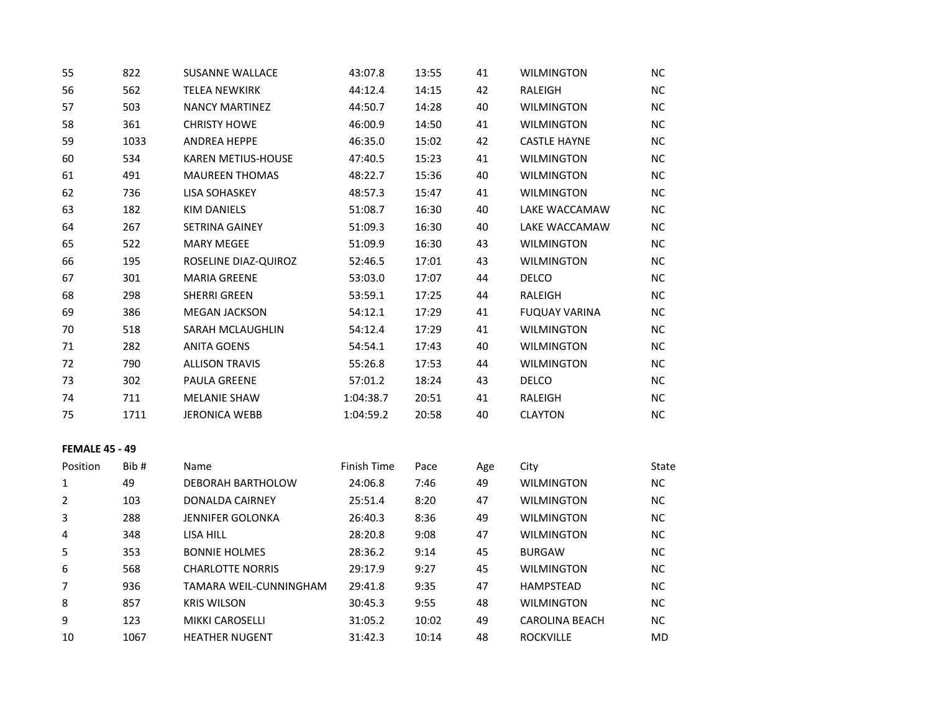| 55                    | 822  | <b>SUSANNE WALLACE</b>    | 43:07.8     | 13:55 | 41  | <b>WILMINGTON</b>     | NC.       |
|-----------------------|------|---------------------------|-------------|-------|-----|-----------------------|-----------|
| 56                    | 562  | <b>TELEA NEWKIRK</b>      | 44:12.4     | 14:15 | 42  | RALEIGH               | NC.       |
| 57                    | 503  | <b>NANCY MARTINEZ</b>     | 44:50.7     | 14:28 | 40  | <b>WILMINGTON</b>     | NC.       |
| 58                    | 361  | <b>CHRISTY HOWE</b>       | 46:00.9     | 14:50 | 41  | <b>WILMINGTON</b>     | NC        |
| 59                    | 1033 | <b>ANDREA HEPPE</b>       | 46:35.0     | 15:02 | 42  | <b>CASTLE HAYNE</b>   | NC.       |
| 60                    | 534  | <b>KAREN METIUS-HOUSE</b> | 47:40.5     | 15:23 | 41  | <b>WILMINGTON</b>     | NC.       |
| 61                    | 491  | <b>MAUREEN THOMAS</b>     | 48:22.7     | 15:36 | 40  | <b>WILMINGTON</b>     | NC        |
| 62                    | 736  | <b>LISA SOHASKEY</b>      | 48:57.3     | 15:47 | 41  | <b>WILMINGTON</b>     | NC.       |
| 63                    | 182  | <b>KIM DANIELS</b>        | 51:08.7     | 16:30 | 40  | LAKE WACCAMAW         | NC        |
| 64                    | 267  | <b>SETRINA GAINEY</b>     | 51:09.3     | 16:30 | 40  | LAKE WACCAMAW         | NC.       |
| 65                    | 522  | <b>MARY MEGEE</b>         | 51:09.9     | 16:30 | 43  | <b>WILMINGTON</b>     | <b>NC</b> |
| 66                    | 195  | ROSELINE DIAZ-QUIROZ      | 52:46.5     | 17:01 | 43  | WILMINGTON            | NC.       |
| 67                    | 301  | <b>MARIA GREENE</b>       | 53:03.0     | 17:07 | 44  | <b>DELCO</b>          | NC        |
| 68                    | 298  | <b>SHERRI GREEN</b>       | 53:59.1     | 17:25 | 44  | RALEIGH               | NC.       |
| 69                    | 386  | <b>MEGAN JACKSON</b>      | 54:12.1     | 17:29 | 41  | <b>FUQUAY VARINA</b>  | NC.       |
| 70                    | 518  | SARAH MCLAUGHLIN          | 54:12.4     | 17:29 | 41  | <b>WILMINGTON</b>     | NC.       |
| 71                    | 282  | <b>ANITA GOENS</b>        | 54:54.1     | 17:43 | 40  | <b>WILMINGTON</b>     | NC.       |
| 72                    | 790  | <b>ALLISON TRAVIS</b>     | 55:26.8     | 17:53 | 44  | <b>WILMINGTON</b>     | NC        |
| 73                    | 302  | <b>PAULA GREENE</b>       | 57:01.2     | 18:24 | 43  | <b>DELCO</b>          | NC        |
| 74                    | 711  | <b>MELANIE SHAW</b>       | 1:04:38.7   | 20:51 | 41  | RALEIGH               | NC.       |
| 75                    | 1711 | <b>JERONICA WEBB</b>      | 1:04:59.2   | 20:58 | 40  | <b>CLAYTON</b>        | NC        |
| <b>FEMALE 45 - 49</b> |      |                           |             |       |     |                       |           |
| Position              | Bib# | Name                      | Finish Time | Pace  | Age | City                  | State     |
| $\mathbf 1$           | 49   | DEBORAH BARTHOLOW         | 24:06.8     | 7:46  | 49  | <b>WILMINGTON</b>     | <b>NC</b> |
| 2                     | 103  | DONALDA CAIRNEY           | 25:51.4     | 8:20  | 47  | <b>WILMINGTON</b>     | <b>NC</b> |
| 3                     | 288  | JENNIFER GOLONKA          | 26:40.3     | 8:36  | 49  | <b>WILMINGTON</b>     | NC.       |
| 4                     | 348  | LISA HILL                 | 28:20.8     | 9:08  | 47  | <b>WILMINGTON</b>     | NC        |
| 5                     | 353  | <b>BONNIE HOLMES</b>      | 28:36.2     | 9:14  | 45  | <b>BURGAW</b>         | NC.       |
| 6                     | 568  | <b>CHARLOTTE NORRIS</b>   | 29:17.9     | 9:27  | 45  | <b>WILMINGTON</b>     | NC.       |
| $\overline{7}$        | 936  | TAMARA WEIL-CUNNINGHAM    | 29:41.8     | 9:35  | 47  | <b>HAMPSTEAD</b>      | NC.       |
| 8                     | 857  | <b>KRIS WILSON</b>        | 30:45.3     | 9:55  | 48  | <b>WILMINGTON</b>     | NC.       |
| 9                     | 123  | <b>MIKKI CAROSELLI</b>    | 31:05.2     | 10:02 | 49  | <b>CAROLINA BEACH</b> | NC        |
| 10                    | 1067 | <b>HEATHER NUGENT</b>     | 31:42.3     | 10:14 | 48  | <b>ROCKVILLE</b>      | <b>MD</b> |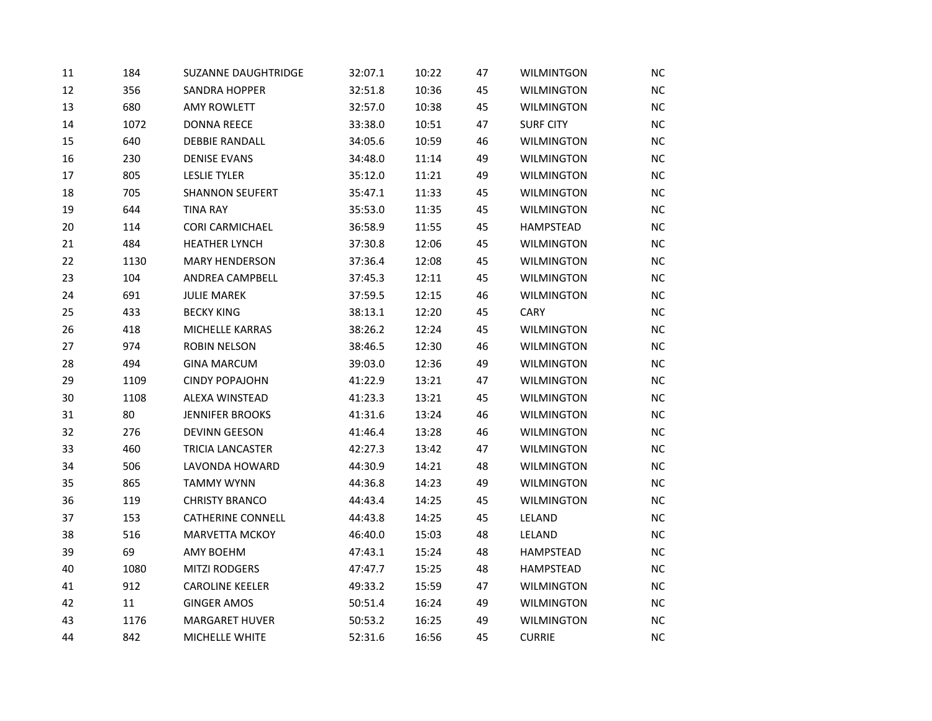| 11 | 184  | <b>SUZANNE DAUGHTRIDGE</b> | 32:07.1 | 10:22 | 47 | <b>WILMINTGON</b> | <b>NC</b> |
|----|------|----------------------------|---------|-------|----|-------------------|-----------|
| 12 | 356  | SANDRA HOPPER              | 32:51.8 | 10:36 | 45 | <b>WILMINGTON</b> | NC        |
| 13 | 680  | <b>AMY ROWLETT</b>         | 32:57.0 | 10:38 | 45 | <b>WILMINGTON</b> | NC        |
| 14 | 1072 | <b>DONNA REECE</b>         | 33:38.0 | 10:51 | 47 | <b>SURF CITY</b>  | NC        |
| 15 | 640  | <b>DEBBIE RANDALL</b>      | 34:05.6 | 10:59 | 46 | <b>WILMINGTON</b> | <b>NC</b> |
| 16 | 230  | <b>DENISE EVANS</b>        | 34:48.0 | 11:14 | 49 | <b>WILMINGTON</b> | <b>NC</b> |
| 17 | 805  | <b>LESLIE TYLER</b>        | 35:12.0 | 11:21 | 49 | <b>WILMINGTON</b> | NC        |
| 18 | 705  | <b>SHANNON SEUFERT</b>     | 35:47.1 | 11:33 | 45 | <b>WILMINGTON</b> | <b>NC</b> |
| 19 | 644  | <b>TINA RAY</b>            | 35:53.0 | 11:35 | 45 | <b>WILMINGTON</b> | NC        |
| 20 | 114  | <b>CORI CARMICHAEL</b>     | 36:58.9 | 11:55 | 45 | <b>HAMPSTEAD</b>  | NC        |
| 21 | 484  | <b>HEATHER LYNCH</b>       | 37:30.8 | 12:06 | 45 | <b>WILMINGTON</b> | NC        |
| 22 | 1130 | <b>MARY HENDERSON</b>      | 37:36.4 | 12:08 | 45 | <b>WILMINGTON</b> | NC        |
| 23 | 104  | ANDREA CAMPBELL            | 37:45.3 | 12:11 | 45 | WILMINGTON        | <b>NC</b> |
| 24 | 691  | <b>JULIE MAREK</b>         | 37:59.5 | 12:15 | 46 | <b>WILMINGTON</b> | NC        |
| 25 | 433  | <b>BECKY KING</b>          | 38:13.1 | 12:20 | 45 | CARY              | NC        |
| 26 | 418  | MICHELLE KARRAS            | 38:26.2 | 12:24 | 45 | <b>WILMINGTON</b> | <b>NC</b> |
| 27 | 974  | ROBIN NELSON               | 38:46.5 | 12:30 | 46 | <b>WILMINGTON</b> | NC        |
| 28 | 494  | <b>GINA MARCUM</b>         | 39:03.0 | 12:36 | 49 | <b>WILMINGTON</b> | NC        |
| 29 | 1109 | <b>CINDY POPAJOHN</b>      | 41:22.9 | 13:21 | 47 | <b>WILMINGTON</b> | NC        |
| 30 | 1108 | ALEXA WINSTEAD             | 41:23.3 | 13:21 | 45 | <b>WILMINGTON</b> | <b>NC</b> |
| 31 | 80   | <b>JENNIFER BROOKS</b>     | 41:31.6 | 13:24 | 46 | WILMINGTON        | NC        |
| 32 | 276  | DEVINN GEESON              | 41:46.4 | 13:28 | 46 | <b>WILMINGTON</b> | NC        |
| 33 | 460  | <b>TRICIA LANCASTER</b>    | 42:27.3 | 13:42 | 47 | <b>WILMINGTON</b> | NC        |
| 34 | 506  | LAVONDA HOWARD             | 44:30.9 | 14:21 | 48 | <b>WILMINGTON</b> | NC        |
| 35 | 865  | <b>TAMMY WYNN</b>          | 44:36.8 | 14:23 | 49 | <b>WILMINGTON</b> | <b>NC</b> |
| 36 | 119  | <b>CHRISTY BRANCO</b>      | 44:43.4 | 14:25 | 45 | <b>WILMINGTON</b> | NC        |
| 37 | 153  | <b>CATHERINE CONNELL</b>   | 44:43.8 | 14:25 | 45 | LELAND            | <b>NC</b> |
| 38 | 516  | <b>MARVETTA MCKOY</b>      | 46:40.0 | 15:03 | 48 | LELAND            | NC        |
| 39 | 69   | <b>AMY BOEHM</b>           | 47:43.1 | 15:24 | 48 | <b>HAMPSTEAD</b>  | NC        |
| 40 | 1080 | <b>MITZI RODGERS</b>       | 47:47.7 | 15:25 | 48 | HAMPSTEAD         | <b>NC</b> |
| 41 | 912  | <b>CAROLINE KEELER</b>     | 49:33.2 | 15:59 | 47 | <b>WILMINGTON</b> | <b>NC</b> |
| 42 | 11   | <b>GINGER AMOS</b>         | 50:51.4 | 16:24 | 49 | WILMINGTON        | NC        |
| 43 | 1176 | <b>MARGARET HUVER</b>      | 50:53.2 | 16:25 | 49 | <b>WILMINGTON</b> | NC        |
| 44 | 842  | MICHELLE WHITE             | 52:31.6 | 16:56 | 45 | <b>CURRIE</b>     | NC        |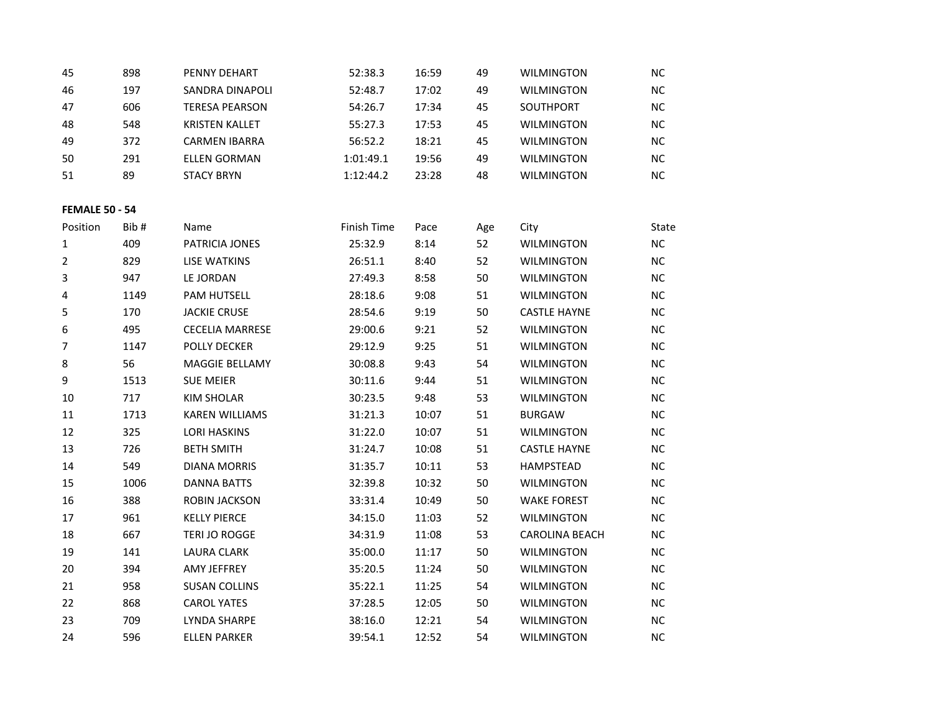| 898 | PENNY DEHART          | 52:38.3   | 16:59 | 49 | <b>WILMINGTON</b> | NC.       |
|-----|-----------------------|-----------|-------|----|-------------------|-----------|
| 197 | SANDRA DINAPOLI       | 52:48.7   | 17:02 | 49 | <b>WILMINGTON</b> | <b>NC</b> |
| 606 | <b>TERESA PEARSON</b> | 54:26.7   | 17:34 | 45 | SOUTHPORT         | NC.       |
| 548 | <b>KRISTEN KALLET</b> | 55:27.3   | 17:53 | 45 | <b>WILMINGTON</b> | NC.       |
| 372 | <b>CARMEN IBARRA</b>  | 56:52.2   | 18:21 | 45 | <b>WILMINGTON</b> | NC.       |
| 291 | <b>ELLEN GORMAN</b>   | 1:01:49.1 | 19:56 | 49 | <b>WILMINGTON</b> | <b>NC</b> |
| 89  | <b>STACY BRYN</b>     | 1:12:44.2 | 23:28 | 48 | <b>WILMINGTON</b> | <b>NC</b> |
|     |                       |           |       |    |                   |           |

## **FEMALE 50 - 54**

| Position | Bib# | Name                   | Finish Time | Pace  | Age | City                  | State     |
|----------|------|------------------------|-------------|-------|-----|-----------------------|-----------|
| 1        | 409  | PATRICIA JONES         | 25:32.9     | 8:14  | 52  | <b>WILMINGTON</b>     | <b>NC</b> |
| 2        | 829  | <b>LISE WATKINS</b>    | 26:51.1     | 8:40  | 52  | <b>WILMINGTON</b>     | NC.       |
| 3        | 947  | LE JORDAN              | 27:49.3     | 8:58  | 50  | <b>WILMINGTON</b>     | NC.       |
| 4        | 1149 | <b>PAM HUTSELL</b>     | 28:18.6     | 9:08  | 51  | <b>WILMINGTON</b>     | NC.       |
| 5        | 170  | <b>JACKIE CRUSE</b>    | 28:54.6     | 9:19  | 50  | <b>CASTLE HAYNE</b>   | NC.       |
| 6        | 495  | <b>CECELIA MARRESE</b> | 29:00.6     | 9:21  | 52  | <b>WILMINGTON</b>     | NC.       |
| 7        | 1147 | <b>POLLY DECKER</b>    | 29:12.9     | 9:25  | 51  | <b>WILMINGTON</b>     | NC.       |
| 8        | 56   | <b>MAGGIE BELLAMY</b>  | 30:08.8     | 9:43  | 54  | <b>WILMINGTON</b>     | <b>NC</b> |
| 9        | 1513 | <b>SUE MEIER</b>       | 30:11.6     | 9:44  | 51  | <b>WILMINGTON</b>     | NC.       |
| 10       | 717  | <b>KIM SHOLAR</b>      | 30:23.5     | 9:48  | 53  | <b>WILMINGTON</b>     | NC.       |
| 11       | 1713 | <b>KAREN WILLIAMS</b>  | 31:21.3     | 10:07 | 51  | <b>BURGAW</b>         | NC.       |
| 12       | 325  | <b>LORI HASKINS</b>    | 31:22.0     | 10:07 | 51  | <b>WILMINGTON</b>     | NC.       |
| 13       | 726  | <b>BETH SMITH</b>      | 31:24.7     | 10:08 | 51  | <b>CASTLE HAYNE</b>   | NC.       |
| 14       | 549  | <b>DIANA MORRIS</b>    | 31:35.7     | 10:11 | 53  | <b>HAMPSTEAD</b>      | NC.       |
| 15       | 1006 | <b>DANNA BATTS</b>     | 32:39.8     | 10:32 | 50  | <b>WILMINGTON</b>     | <b>NC</b> |
| 16       | 388  | ROBIN JACKSON          | 33:31.4     | 10:49 | 50  | <b>WAKE FOREST</b>    | <b>NC</b> |
| 17       | 961  | <b>KELLY PIERCE</b>    | 34:15.0     | 11:03 | 52  | <b>WILMINGTON</b>     | <b>NC</b> |
| 18       | 667  | <b>TERI JO ROGGE</b>   | 34:31.9     | 11:08 | 53  | <b>CAROLINA BEACH</b> | <b>NC</b> |
| 19       | 141  | <b>LAURA CLARK</b>     | 35:00.0     | 11:17 | 50  | <b>WILMINGTON</b>     | <b>NC</b> |
| 20       | 394  | <b>AMY JEFFREY</b>     | 35:20.5     | 11:24 | 50  | <b>WILMINGTON</b>     | NC.       |
| 21       | 958  | <b>SUSAN COLLINS</b>   | 35:22.1     | 11:25 | 54  | <b>WILMINGTON</b>     | NC.       |
| 22       | 868  | <b>CAROL YATES</b>     | 37:28.5     | 12:05 | 50  | <b>WILMINGTON</b>     | NC.       |
| 23       | 709  | LYNDA SHARPE           | 38:16.0     | 12:21 | 54  | <b>WILMINGTON</b>     | <b>NC</b> |
| 24       | 596  | <b>ELLEN PARKER</b>    | 39:54.1     | 12:52 | 54  | <b>WILMINGTON</b>     | <b>NC</b> |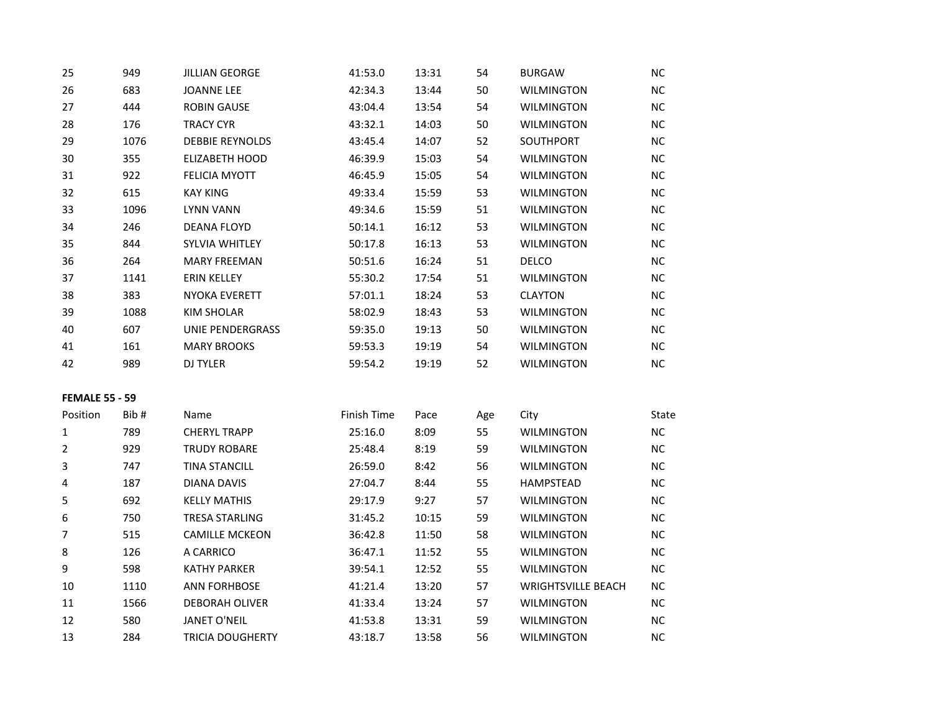| 25                    | 949  | <b>JILLIAN GEORGE</b>   | 41:53.0     | 13:31 | 54  | <b>BURGAW</b>             | NC.       |
|-----------------------|------|-------------------------|-------------|-------|-----|---------------------------|-----------|
| 26                    | 683  | <b>JOANNE LEE</b>       | 42:34.3     | 13:44 | 50  | WILMINGTON                | <b>NC</b> |
| 27                    | 444  | <b>ROBIN GAUSE</b>      | 43:04.4     | 13:54 | 54  | <b>WILMINGTON</b>         | <b>NC</b> |
| 28                    | 176  | <b>TRACY CYR</b>        | 43:32.1     | 14:03 | 50  | <b>WILMINGTON</b>         | NC        |
| 29                    | 1076 | <b>DEBBIE REYNOLDS</b>  | 43:45.4     | 14:07 | 52  | SOUTHPORT                 | NC        |
| 30                    | 355  | ELIZABETH HOOD          | 46:39.9     | 15:03 | 54  | <b>WILMINGTON</b>         | <b>NC</b> |
| 31                    | 922  | <b>FELICIA MYOTT</b>    | 46:45.9     | 15:05 | 54  | <b>WILMINGTON</b>         | NC        |
| 32                    | 615  | <b>KAY KING</b>         | 49:33.4     | 15:59 | 53  | <b>WILMINGTON</b>         | NC        |
| 33                    | 1096 | <b>LYNN VANN</b>        | 49:34.6     | 15:59 | 51  | <b>WILMINGTON</b>         | <b>NC</b> |
| 34                    | 246  | <b>DEANA FLOYD</b>      | 50:14.1     | 16:12 | 53  | <b>WILMINGTON</b>         | NC.       |
| 35                    | 844  | SYLVIA WHITLEY          | 50:17.8     | 16:13 | 53  | <b>WILMINGTON</b>         | NC        |
| 36                    | 264  | <b>MARY FREEMAN</b>     | 50:51.6     | 16:24 | 51  | DELCO                     | NC.       |
| 37                    | 1141 | <b>ERIN KELLEY</b>      | 55:30.2     | 17:54 | 51  | <b>WILMINGTON</b>         | NC.       |
| 38                    | 383  | <b>NYOKA EVERETT</b>    | 57:01.1     | 18:24 | 53  | <b>CLAYTON</b>            | NC        |
| 39                    | 1088 | KIM SHOLAR              | 58:02.9     | 18:43 | 53  | WILMINGTON                | NC.       |
| 40                    | 607  | UNIE PENDERGRASS        | 59:35.0     | 19:13 | 50  | <b>WILMINGTON</b>         | <b>NC</b> |
| 41                    | 161  | <b>MARY BROOKS</b>      | 59:53.3     | 19:19 | 54  | <b>WILMINGTON</b>         | NC        |
| 42                    | 989  | DJ TYLER                | 59:54.2     | 19:19 | 52  | <b>WILMINGTON</b>         | NC        |
| <b>FEMALE 55 - 59</b> |      |                         |             |       |     |                           |           |
| Position              | Bib# | Name                    | Finish Time | Pace  | Age | City                      | State     |
| 1                     | 789  | <b>CHERYL TRAPP</b>     | 25:16.0     | 8:09  | 55  | <b>WILMINGTON</b>         | NC        |
| $\overline{2}$        | 929  | <b>TRUDY ROBARE</b>     | 25:48.4     | 8:19  | 59  | <b>WILMINGTON</b>         | NC        |
| 3                     | 747  | <b>TINA STANCILL</b>    | 26:59.0     | 8:42  | 56  | <b>WILMINGTON</b>         | NC        |
| 4                     | 187  | <b>DIANA DAVIS</b>      | 27:04.7     | 8:44  | 55  | <b>HAMPSTEAD</b>          | NC.       |
| 5                     | 692  | <b>KELLY MATHIS</b>     | 29:17.9     | 9:27  | 57  | <b>WILMINGTON</b>         | NC        |
| 6                     | 750  | <b>TRESA STARLING</b>   | 31:45.2     | 10:15 | 59  | <b>WILMINGTON</b>         | NC        |
| $\overline{7}$        | 515  | <b>CAMILLE MCKEON</b>   | 36:42.8     | 11:50 | 58  | <b>WILMINGTON</b>         | NC        |
| 8                     | 126  | A CARRICO               | 36:47.1     | 11:52 | 55  | <b>WILMINGTON</b>         | <b>NC</b> |
| 9                     | 598  | <b>KATHY PARKER</b>     | 39:54.1     | 12:52 | 55  | <b>WILMINGTON</b>         | NC.       |
| 10                    | 1110 | <b>ANN FORHBOSE</b>     | 41:21.4     | 13:20 | 57  | <b>WRIGHTSVILLE BEACH</b> | NC.       |
| 11                    | 1566 | <b>DEBORAH OLIVER</b>   | 41:33.4     | 13:24 | 57  | <b>WILMINGTON</b>         | <b>NC</b> |
| 12                    | 580  | <b>JANET O'NEIL</b>     | 41:53.8     | 13:31 | 59  | <b>WILMINGTON</b>         | NC        |
| 13                    | 284  | <b>TRICIA DOUGHERTY</b> | 43:18.7     | 13:58 | 56  | <b>WILMINGTON</b>         | <b>NC</b> |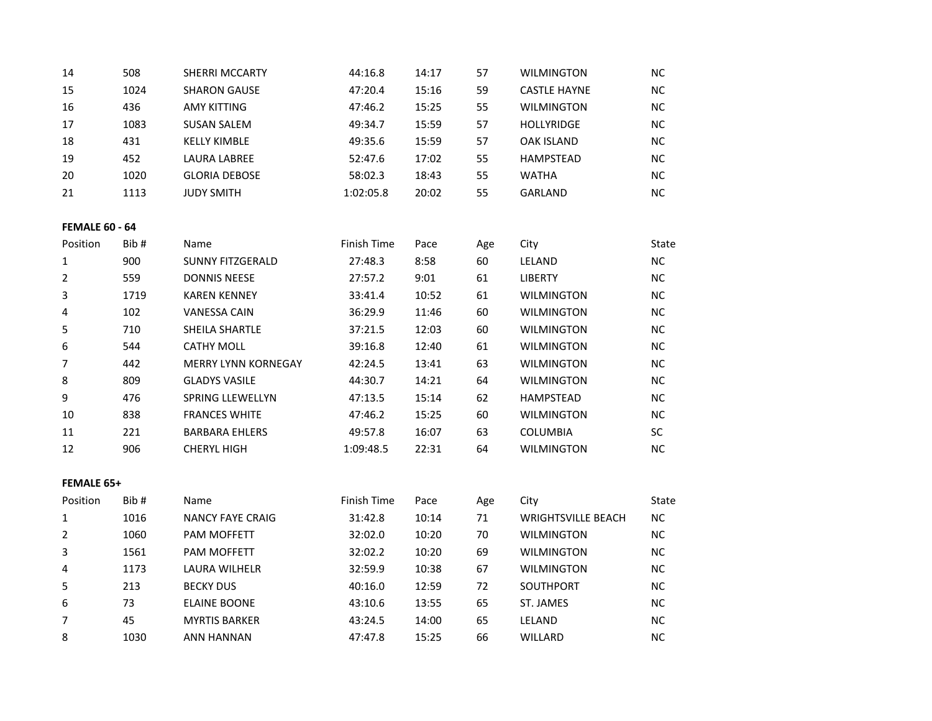| 14                    | 508  | SHERRI MCCARTY             | 44:16.8     | 14:17 | 57  | <b>WILMINGTON</b>         | NC.       |
|-----------------------|------|----------------------------|-------------|-------|-----|---------------------------|-----------|
| 15                    | 1024 | <b>SHARON GAUSE</b>        | 47:20.4     | 15:16 | 59  | <b>CASTLE HAYNE</b>       | NC        |
| 16                    | 436  | <b>AMY KITTING</b>         | 47:46.2     | 15:25 | 55  | <b>WILMINGTON</b>         | NC.       |
| 17                    | 1083 | <b>SUSAN SALEM</b>         | 49:34.7     | 15:59 | 57  | <b>HOLLYRIDGE</b>         | NC.       |
| 18                    | 431  | <b>KELLY KIMBLE</b>        | 49:35.6     | 15:59 | 57  | <b>OAK ISLAND</b>         | <b>NC</b> |
| 19                    | 452  | <b>LAURA LABREE</b>        | 52:47.6     | 17:02 | 55  | <b>HAMPSTEAD</b>          | NC        |
| 20                    | 1020 | <b>GLORIA DEBOSE</b>       | 58:02.3     | 18:43 | 55  | <b>WATHA</b>              | NC.       |
| 21                    | 1113 | <b>JUDY SMITH</b>          | 1:02:05.8   | 20:02 | 55  | <b>GARLAND</b>            | NC        |
| <b>FEMALE 60 - 64</b> |      |                            |             |       |     |                           |           |
| Position              | Bib# | Name                       | Finish Time | Pace  | Age | City                      | State     |
| $\mathbf 1$           | 900  | <b>SUNNY FITZGERALD</b>    | 27:48.3     | 8:58  | 60  | LELAND                    | NC        |
| $\overline{2}$        | 559  | <b>DONNIS NEESE</b>        | 27:57.2     | 9:01  | 61  | <b>LIBERTY</b>            | NC        |
| 3                     | 1719 | <b>KAREN KENNEY</b>        | 33:41.4     | 10:52 | 61  | <b>WILMINGTON</b>         | NC.       |
| 4                     | 102  | <b>VANESSA CAIN</b>        | 36:29.9     | 11:46 | 60  | <b>WILMINGTON</b>         | NC.       |
| 5                     | 710  | SHEILA SHARTLE             | 37:21.5     | 12:03 | 60  | <b>WILMINGTON</b>         | NC.       |
| 6                     | 544  | <b>CATHY MOLL</b>          | 39:16.8     | 12:40 | 61  | <b>WILMINGTON</b>         | NC        |
| $\overline{7}$        | 442  | <b>MERRY LYNN KORNEGAY</b> | 42:24.5     | 13:41 | 63  | <b>WILMINGTON</b>         | NC.       |
| $\,8\,$               | 809  | <b>GLADYS VASILE</b>       | 44:30.7     | 14:21 | 64  | <b>WILMINGTON</b>         | NC.       |
| 9                     | 476  | SPRING LLEWELLYN           | 47:13.5     | 15:14 | 62  | HAMPSTEAD                 | <b>NC</b> |
| $10\,$                | 838  | <b>FRANCES WHITE</b>       | 47:46.2     | 15:25 | 60  | <b>WILMINGTON</b>         | NC        |
| 11                    | 221  | <b>BARBARA EHLERS</b>      | 49:57.8     | 16:07 | 63  | <b>COLUMBIA</b>           | SC        |
| 12                    | 906  | <b>CHERYL HIGH</b>         | 1:09:48.5   | 22:31 | 64  | <b>WILMINGTON</b>         | NC        |
| FEMALE 65+            |      |                            |             |       |     |                           |           |
| Position              | Bib# | Name                       | Finish Time | Pace  | Age | City                      | State     |
| $\mathbf 1$           | 1016 | <b>NANCY FAYE CRAIG</b>    | 31:42.8     | 10:14 | 71  | <b>WRIGHTSVILLE BEACH</b> | NC        |
| $\overline{2}$        | 1060 | PAM MOFFETT                | 32:02.0     | 10:20 | 70  | <b>WILMINGTON</b>         | NC        |
| 3                     | 1561 | PAM MOFFETT                | 32:02.2     | 10:20 | 69  | <b>WILMINGTON</b>         | NC.       |
| 4                     | 1173 | LAURA WILHELR              | 32:59.9     | 10:38 | 67  | <b>WILMINGTON</b>         | NC.       |
| 5                     | 213  | <b>BECKY DUS</b>           | 40:16.0     | 12:59 | 72  | SOUTHPORT                 | <b>NC</b> |
| 6                     | 73   | <b>ELAINE BOONE</b>        | 43:10.6     | 13:55 | 65  | ST. JAMES                 | NC        |
| 7                     | 45   | <b>MYRTIS BARKER</b>       | 43:24.5     | 14:00 | 65  | LELAND                    | NC        |
| 8                     | 1030 | <b>ANN HANNAN</b>          | 47:47.8     | 15:25 | 66  | WILLARD                   | NC        |